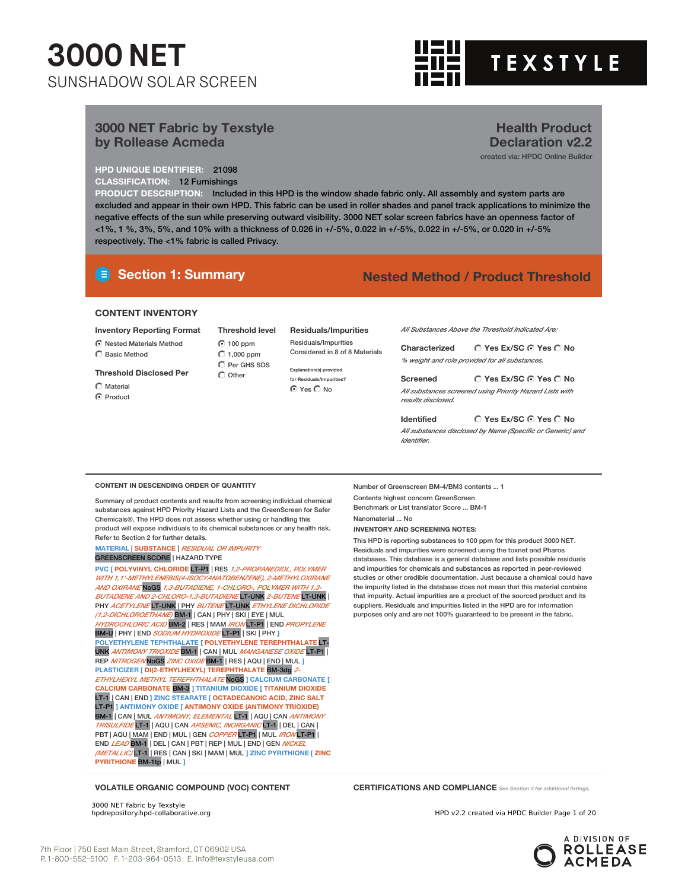## **3000 NET**  SUNSHADOW SOLAR SCREEN



**Health Product Declaration v2.2** created via: HPDC Online Builder

#### **3000 NET Fabric by Texstyle by Rollease Acmeda**

**HPD UNIQUE IDENTIFIER:** 21098 **CLASSIFICATION:** 12 Furnishings

**PRODUCT DESCRIPTION:** Included in this HPD is the window shade fabric only. All assembly and system parts are excluded and appear in their own HPD. This fabric can be used in roller shades and panel track applications to minimize the negative effects of the sun while preserving outward visibility. 3000 NET solar screen fabrics have an openness factor of <1%, 1 %, 3%, 5%, and 10% with a thickness of 0.026 in +/-5%, 0.022 in +/-5%, 0.022 in +/-5%, or 0.020 in +/-5% respectively. The <1% fabric is called Privacy.

#### **Section 1: Summary Nested Method / Product Threshold**

#### **CONTENT INVENTORY**

- **Inventory Reporting Format**
- $\odot$  Nested Materials Method C Basic Method

#### **Threshold Disclosed Per**

- $\bigcap$  Material
- ◯ Product

100 ppm  $C$  1,000 ppm  $\overline{C}$  Per GHS SDS  $\bigcap$  Other

**Threshold level Residuals/Impurities** Residuals/Impurities Considered in 8 of 8 Materials

> **Explanation(s) provided for Residuals/Impurities?** ⊙ Yes C No

*All Substances Above the Threshold Indicated Are:*

**Yes Ex/SC Yes No Characterized** *% weight and role provided for all substances.*

**Yes Ex/SC Yes No**

*All substances screened using Priority Hazard Lists with*

**Identified**

*All substances disclosed by Name (Specific or Generic) and Identifier.*

**Yes Ex/SC Yes No**

#### **CONTENT IN DESCENDING ORDER OF QUANTITY**

Summary of product contents and results from screening individual chemical substances against HPD Priority Hazard Lists and the GreenScreen for Safer Chemicals®. The HPD does not assess whether using or handling this product will expose individuals to its chemical substances or any health risk. Refer to Section 2 for further details.

#### **MATERIAL** | **SUBSTANCE** | *RESIDUAL OR IMPURITY* GREENSCREEN SCORE | HAZARD TYPE

**PVC [ POLYVINYL CHLORIDE** LT-P1 | RES *1,2-PROPANEDIOL, POLYMER WITH 1,1'-METHYLENEBIS(4-ISOCYANATOBENZENE), 2-METHYLOXIRANE AND OXIRANE* NoGS *1,3-BUTADIENE, 1-CHLORO-, POLYMER WITH 1,3- BUTADIENE AND 2-CHLORO-1,3-BUTADIENE* LT-UNK *2-BUTENE* LT-UNK | PHY *ACETYLENE* LT-UNK | PHY *BUTENE* LT-UNK *ETHYLENE DICHLORIDE (1,2-DICHLOROETHANE)* BM-1 | CAN | PHY | SKI | EYE | MUL *HYDROCHLORIC ACID* BM-2 | RES | MAM *IRON* LT-P1 | END *PROPYLENE* BM-U | PHY | END *SODIUM HYDROXIDE* LT-P1 | SKI | PHY **] POLYETHYLENE TEPHTHALATE [ POLYETHYLENE TEREPHTHALATE** LT-UNK *ANTIMONY TRIOXIDE* BM-1 | CAN | MUL *MANGANESE OXIDE* LT-P1 | REP *NITROGEN* NoGS *ZINC OXIDE* BM-1 | RES | AQU | END | MUL **] PLASTICIZER [ DI(2-ETHYLHEXYL) TEREPHTHALATE** BM-3dg *2- ETHYLHEXYL METHYL TEREPHTHALATE* NoGS **] CALCIUM CARBONATE [ CALCIUM CARBONATE** BM-3 **] TITANIUM DIOXIDE [ TITANIUM DIOXIDE** LT-1 | CAN | END **] ZINC STEARATE [ OCTADECANOIC ACID, ZINC SALT** LT-P1 **] ANTIMONY OXIDE [ ANTIMONY OXIDE (ANTIMONY TRIOXIDE)** BM-1 | CAN | MUL *ANTIMONY, ELEMENTAL* LT-1 | AQU | CAN *ANTIMONY TRISULFIDE* LT-1 | AQU | CAN *ARSENIC, INORGANIC* LT-1 | DEL | CAN | PBT | AQU | MAM | END | MUL | GEN *COPPER* LT-P1 | MUL *IRON* LT-P1 | END *LEAD* BM-1 | DEL | CAN | PBT | REP | MUL | END | GEN *NICKEL (METALLIC)* LT-1 | RES | CAN | SKI | MAM | MUL **] ZINC PYRITHIONE [ ZINC PYRITHIONE** BM-1tp | MUL **]**

Number of Greenscreen BM-4/BM3 contents ... 1 Contents highest concern GreenScreen Benchmark or List translator Score ... BM-1 Nanomaterial ... No **INVENTORY AND SCREENING NOTES:**

This HPD is reporting substances to 100 ppm for this product 3000 NET. Residuals and impurities were screened using the toxnet and Pharos databases. This database is a general database and lists possible residuals and impurities for chemicals and substances as reported in peer-reviewed studies or other credible documentation. Just because a chemical could have the impurity listed in the database does not mean that this material contains that impurity. Actual impurities are a product of the sourced product and its suppliers. Residuals and impurities listed in the HPD are for information purposes only and are not 100% guaranteed to be present in the fabric.

**VOLATILE ORGANIC COMPOUND (VOC) CONTENT CERTIFICATIONS AND COMPLIANCE** *See Section <sup>3</sup> for additional listings.*

3000 NET Fabric by Texstyle<br>hpdrepository.hpd-collaborative.org

HPD v2.2 created via HPDC Builder Page 1 of 20



**Screened**

#### *results disclosed.*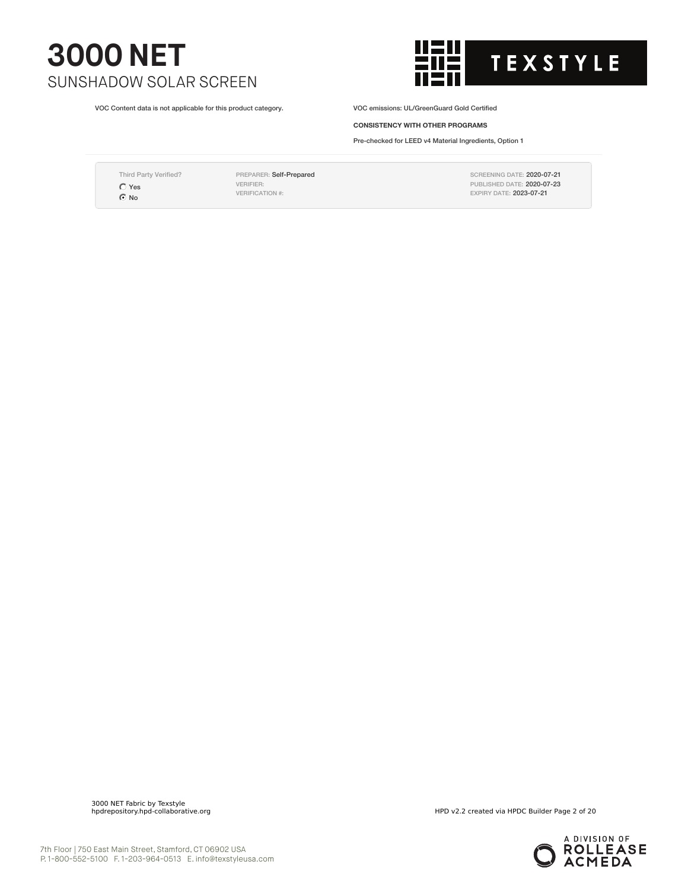VOC Content data is not applicable for this product category. VOC emissions: UL/GreenGuard Gold Certified



**CONSISTENCY WITH OTHER PROGRAMS**

Pre-checked for LEED v4 Material Ingredients, Option 1

Third Party Verified?  $\bigcirc$  Yes ⊙ No

PREPARER: Self-Prepared VERIFIER: VERIFICATION #:

SCREENING DATE: 2020-07-21 PUBLISHED DATE: 2020-07-23 EXPIRY DATE: 2023-07-21

3000 NET Fabric by Texstyle

HPD v2.2 created via HPDC Builder Page 2 of 20

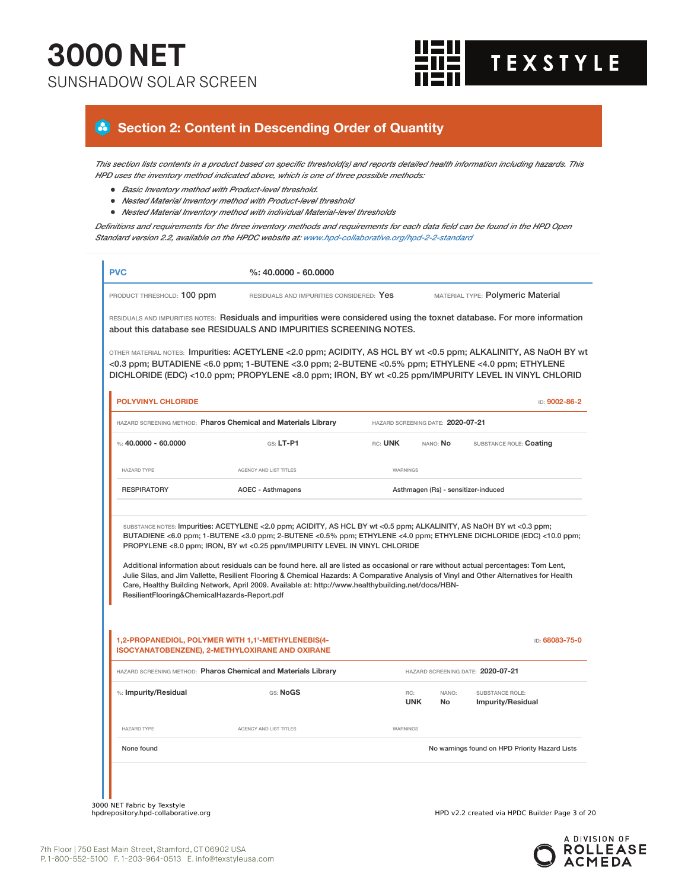

#### **Section 2: Content in Descending Order of Quantity**

This section lists contents in a product based on specific threshold(s) and reports detailed health information including hazards. This *HPD uses the inventory method indicated above, which is one of three possible methods:*

- *Basic Inventory method with Product-level threshold.*
- *Nested Material Inventory method with Product-level threshold*
- *Nested Material Inventory method with individual Material-level thresholds*

Definitions and requirements for the three inventory methods and requirements for each data field can be found in the HPD Open *Standard version 2.2, available on the HPDC website at: www.hpd-collaborative.org/hpd-2-2-standard*

| PRODUCT THRESHOLD: 100 ppm                   | RESIDUALS AND IMPURITIES CONSIDERED: Yes                                                                                                                                                                                                                                                                                                                                                                                                                                                                                                                                                                                                                                                                          |                                   |              | MATERIAL TYPE: Polymeric Material              |               |
|----------------------------------------------|-------------------------------------------------------------------------------------------------------------------------------------------------------------------------------------------------------------------------------------------------------------------------------------------------------------------------------------------------------------------------------------------------------------------------------------------------------------------------------------------------------------------------------------------------------------------------------------------------------------------------------------------------------------------------------------------------------------------|-----------------------------------|--------------|------------------------------------------------|---------------|
|                                              | RESIDUALS AND IMPURITIES NOTES: Residuals and impurities were considered using the toxnet database. For more information<br>about this database see RESIDUALS AND IMPURITIES SCREENING NOTES.                                                                                                                                                                                                                                                                                                                                                                                                                                                                                                                     |                                   |              |                                                |               |
|                                              | OTHER MATERIAL NOTES: Impurities: ACETYLENE <2.0 ppm; ACIDITY, AS HCL BY wt <0.5 ppm; ALKALINITY, AS NaOH BY wt<br><0.3 ppm; BUTADIENE <6.0 ppm; 1-BUTENE <3.0 ppm; 2-BUTENE <0.5% ppm; ETHYLENE <4.0 ppm; ETHYLENE<br>DICHLORIDE (EDC) <10.0 ppm; PROPYLENE <8.0 ppm; IRON, BY wt <0.25 ppm/IMPURITY LEVEL IN VINYL CHLORID                                                                                                                                                                                                                                                                                                                                                                                      |                                   |              |                                                |               |
| <b>POLYVINYL CHLORIDE</b>                    |                                                                                                                                                                                                                                                                                                                                                                                                                                                                                                                                                                                                                                                                                                                   |                                   |              |                                                | ID: 9002-86-2 |
|                                              | HAZARD SCREENING METHOD: Pharos Chemical and Materials Library                                                                                                                                                                                                                                                                                                                                                                                                                                                                                                                                                                                                                                                    | HAZARD SCREENING DATE: 2020-07-21 |              |                                                |               |
| %: $40.0000 - 60.0000$                       | $G.S. LT-P1$                                                                                                                                                                                                                                                                                                                                                                                                                                                                                                                                                                                                                                                                                                      | RC: UNK                           | NANO: No     | SUBSTANCE ROLE: Coating                        |               |
| <b>HAZARD TYPE</b>                           | AGENCY AND LIST TITLES                                                                                                                                                                                                                                                                                                                                                                                                                                                                                                                                                                                                                                                                                            | WARNINGS                          |              |                                                |               |
| <b>RESPIRATORY</b>                           | <b>AOEC - Asthmagens</b>                                                                                                                                                                                                                                                                                                                                                                                                                                                                                                                                                                                                                                                                                          |                                   |              | Asthmagen (Rs) - sensitizer-induced            |               |
|                                              | SUBSTANCE NOTES: Impurities: ACETYLENE <2.0 ppm; ACIDITY, AS HCL BY wt <0.5 ppm; ALKALINITY, AS NaOH BY wt <0.3 ppm;<br>BUTADIENE <6.0 ppm; 1-BUTENE <3.0 ppm; 2-BUTENE <0.5% ppm; ETHYLENE <4.0 ppm; ETHYLENE DICHLORIDE (EDC) <10.0 ppm;<br>PROPYLENE <8.0 ppm; IRON, BY wt <0.25 ppm/IMPURITY LEVEL IN VINYL CHLORIDE<br>Additional information about residuals can be found here. all are listed as occasional or rare without actual percentages: Tom Lent,<br>Julie Silas, and Jim Vallette, Resilient Flooring & Chemical Hazards: A Comparative Analysis of Vinyl and Other Alternatives for Health<br>Care, Healthy Building Network, April 2009. Available at: http://www.healthybuilding.net/docs/HBN- |                                   |              |                                                |               |
| ResilientFlooring&ChemicalHazards-Report.pdf |                                                                                                                                                                                                                                                                                                                                                                                                                                                                                                                                                                                                                                                                                                                   |                                   |              |                                                |               |
|                                              | 1,2-PROPANEDIOL, POLYMER WITH 1,1'-METHYLENEBIS(4-<br><b>ISOCYANATOBENZENE), 2-METHYLOXIRANE AND OXIRANE</b>                                                                                                                                                                                                                                                                                                                                                                                                                                                                                                                                                                                                      |                                   |              | ID: 68083-75-0                                 |               |
|                                              | HAZARD SCREENING METHOD: Pharos Chemical and Materials Library                                                                                                                                                                                                                                                                                                                                                                                                                                                                                                                                                                                                                                                    |                                   |              | HAZARD SCREENING DATE: 2020-07-21              |               |
| %: Impurity/Residual                         | GS: NoGS                                                                                                                                                                                                                                                                                                                                                                                                                                                                                                                                                                                                                                                                                                          | RC:<br><b>UNK</b>                 | NANO:<br>No. | SUBSTANCE ROLE:<br><b>Impurity/Residual</b>    |               |
| <b>HAZARD TYPE</b>                           | AGENCY AND LIST TITLES                                                                                                                                                                                                                                                                                                                                                                                                                                                                                                                                                                                                                                                                                            | WARNINGS                          |              |                                                |               |
| None found                                   |                                                                                                                                                                                                                                                                                                                                                                                                                                                                                                                                                                                                                                                                                                                   |                                   |              | No warnings found on HPD Priority Hazard Lists |               |

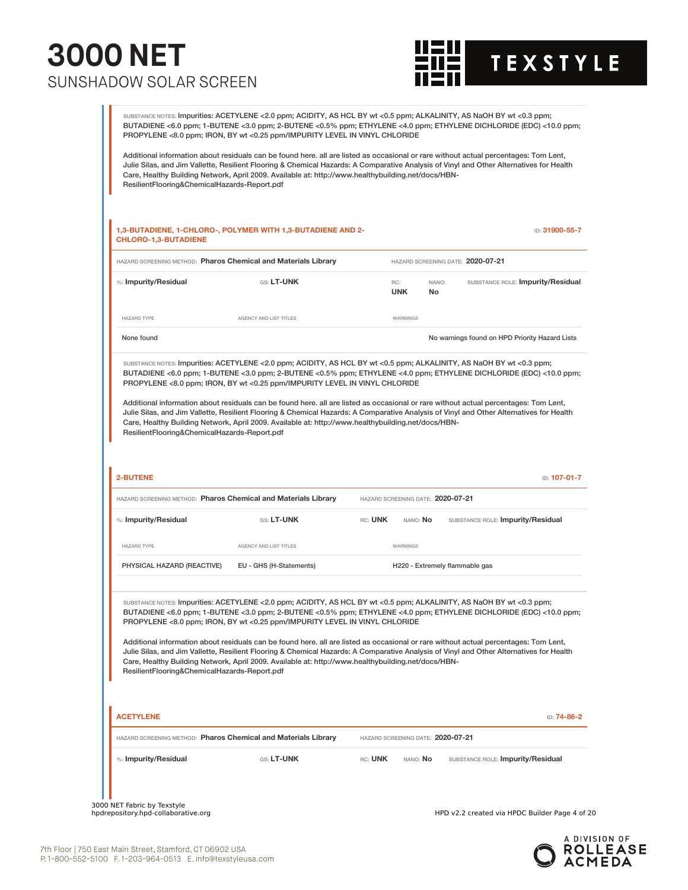

SUBSTANCE NOTES: Impurities: ACETYLENE <2.0 ppm; ACIDITY, AS HCL BY wt <0.5 ppm; ALKALINITY, AS NaOH BY wt <0.3 ppm; BUTADIENE <6.0 ppm; 1-BUTENE <3.0 ppm; 2-BUTENE <0.5% ppm; ETHYLENE <4.0 ppm; ETHYLENE DICHLORIDE (EDC) <10.0 ppm; PROPYLENE <8.0 ppm; IRON, BY wt <0.25 ppm/IMPURITY LEVEL IN VINYL CHLORIDE Additional information about residuals can be found here. all are listed as occasional or rare without actual percentages: Tom Lent, Julie Silas, and Jim Vallette, Resilient Flooring & Chemical Hazards: A Comparative Analysis of Vinyl and Other Alternatives for Health Care, Healthy Building Network, April 2009. Available at: http://www.healthybuilding.net/docs/HBN-ResilientFlooring&ChemicalHazards-Report.pdf **1,3-BUTADIENE, 1-CHLORO-, POLYMER WITH 1,3-BUTADIENE AND 2- CHLORO-1,3-BUTADIENE** ID: **31900-55-7** HAZARD SCREENING METHOD: **Pharos Chemical and Materials Library** HAZARD SCREENING DATE: **2020-07-21** %: **Impurity/Residual GS:** LT-UNK **GS:** LT-UNK **UNK** NANO: **No** SUBSTANCE ROLE: **Impurity/Residual** HAZARD TYPE **AGENCY AND LIST TITLES** WARNINGS None found **Now are the Contract on HPD Priority Hazard Lists** Now are found on HPD Priority Hazard Lists SUBSTANCE NOTES: Impurities: ACETYLENE <2.0 ppm; ACIDITY, AS HCL BY wt <0.5 ppm; ALKALINITY, AS NaOH BY wt <0.3 ppm; BUTADIENE <6.0 ppm; 1-BUTENE <3.0 ppm; 2-BUTENE <0.5% ppm; ETHYLENE <4.0 ppm; ETHYLENE DICHLORIDE (EDC) <10.0 ppm; PROPYLENE <8.0 ppm; IRON, BY wt <0.25 ppm/IMPURITY LEVEL IN VINYL CHLORIDE Additional information about residuals can be found here. all are listed as occasional or rare without actual percentages: Tom Lent, Julie Silas, and Jim Vallette, Resilient Flooring & Chemical Hazards: A Comparative Analysis of Vinyl and Other Alternatives for Health Care, Healthy Building Network, April 2009. Available at: http://www.healthybuilding.net/docs/HBN-ResilientFlooring&ChemicalHazards-Report.pdf **2-BUTENE** ID: **107-01-7** HAZARD SCREENING METHOD: **Pharos Chemical and Materials Library** HAZARD SCREENING DATE: **2020-07-21** %: **Impurity/Residual** GS: **LT-UNK** RC: **UNK** NANO: **No** SUBSTANCE ROLE: **Impurity/Residual** HAZARD TYPE **AGENCY AND LIST TITLES** WARNINGS PHYSICAL HAZARD (REACTIVE) EU - GHS (H-Statements) H220 - Extremely flammable gas SUBSTANCE NOTES: Impurities: ACETYLENE <2.0 ppm; ACIDITY, AS HCL BY wt <0.5 ppm; ALKALINITY, AS NaOH BY wt <0.3 ppm; BUTADIENE <6.0 ppm; 1-BUTENE <3.0 ppm; 2-BUTENE <0.5% ppm; ETHYLENE <4.0 ppm; ETHYLENE DICHLORIDE (EDC) <10.0 ppm; PROPYLENE <8.0 ppm; IRON, BY wt <0.25 ppm/IMPURITY LEVEL IN VINYL CHLORIDE Additional information about residuals can be found here. all are listed as occasional or rare without actual percentages: Tom Lent, Julie Silas, and Jim Vallette, Resilient Flooring & Chemical Hazards: A Comparative Analysis of Vinyl and Other Alternatives for Health Care, Healthy Building Network, April 2009. Available at: http://www.healthybuilding.net/docs/HBN-ResilientFlooring&ChemicalHazards-Report.pdf **ACETYLENE** ID: **74-86-2** HAZARD SCREENING METHOD: **Pharos Chemical and Materials Library** HAZARD SCREENING DATE: **2020-07-21** %: **Impurity/Residual** GS: **LT-UNK** RC: **UNK** NANO: **No** SUBSTANCE ROLE: **Impurity/Residual**

3000 NET Fabric by Texstyle<br>hpdrepository.hpd-collaborative.org

HPD v2.2 created via HPDC Builder Page 4 of 20

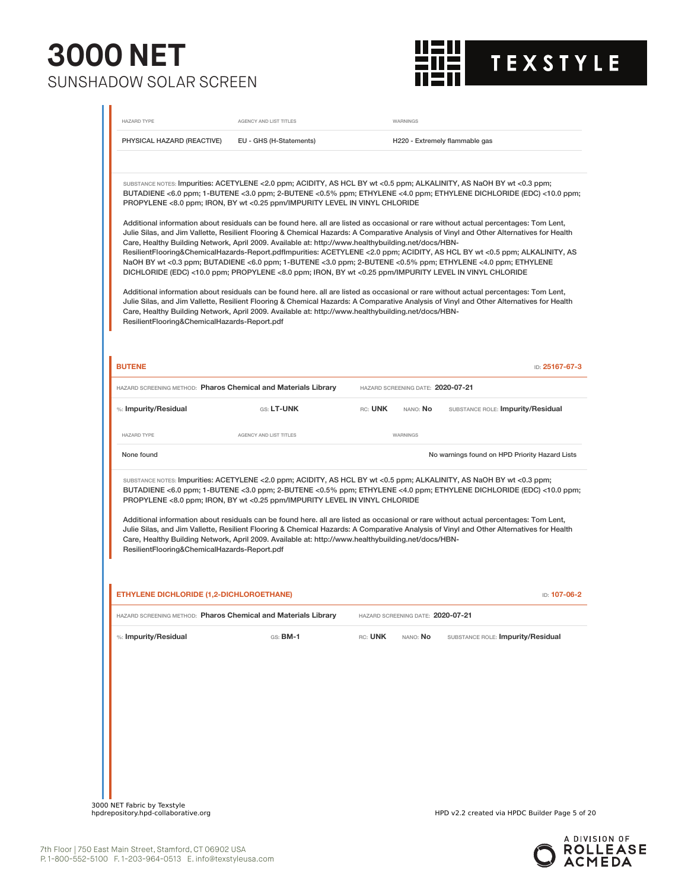

| <b>HAZARD TYPE</b>                           | AGENCY AND LIST TITLES                                                                                                                                                                                                                                                                                                                                                                           | WARNINGS                                                        |                                                                                                                                                                                                                                                                                                                                                                                                                                                                                                                                                                                                                                                                                                                                                                                                                                                                                                                                                                                                                                                               |
|----------------------------------------------|--------------------------------------------------------------------------------------------------------------------------------------------------------------------------------------------------------------------------------------------------------------------------------------------------------------------------------------------------------------------------------------------------|-----------------------------------------------------------------|---------------------------------------------------------------------------------------------------------------------------------------------------------------------------------------------------------------------------------------------------------------------------------------------------------------------------------------------------------------------------------------------------------------------------------------------------------------------------------------------------------------------------------------------------------------------------------------------------------------------------------------------------------------------------------------------------------------------------------------------------------------------------------------------------------------------------------------------------------------------------------------------------------------------------------------------------------------------------------------------------------------------------------------------------------------|
| PHYSICAL HAZARD (REACTIVE)                   | EU - GHS (H-Statements)                                                                                                                                                                                                                                                                                                                                                                          |                                                                 | H220 - Extremely flammable gas                                                                                                                                                                                                                                                                                                                                                                                                                                                                                                                                                                                                                                                                                                                                                                                                                                                                                                                                                                                                                                |
| ResilientFlooring&ChemicalHazards-Report.pdf | PROPYLENE <8.0 ppm; IRON, BY wt <0.25 ppm/IMPURITY LEVEL IN VINYL CHLORIDE<br>Care, Healthy Building Network, April 2009. Available at: http://www.healthybuilding.net/docs/HBN-<br>DICHLORIDE (EDC) <10.0 ppm; PROPYLENE <8.0 ppm; IRON, BY wt <0.25 ppm/IMPURITY LEVEL IN VINYL CHLORIDE<br>Care, Healthy Building Network, April 2009. Available at: http://www.healthybuilding.net/docs/HBN- |                                                                 | SUBSTANCE NOTES: Impurities: ACETYLENE <2.0 ppm; ACIDITY, AS HCL BY wt <0.5 ppm; ALKALINITY, AS NaOH BY wt <0.3 ppm;<br>BUTADIENE <6.0 ppm; 1-BUTENE <3.0 ppm; 2-BUTENE <0.5% ppm; ETHYLENE <4.0 ppm; ETHYLENE DICHLORIDE (EDC) <10.0 ppm;<br>Additional information about residuals can be found here. all are listed as occasional or rare without actual percentages: Tom Lent,<br>Julie Silas, and Jim Vallette, Resilient Flooring & Chemical Hazards: A Comparative Analysis of Vinyl and Other Alternatives for Health<br>ResilientFlooring&ChemicalHazards-Report.pdflmpurities: ACETYLENE <2.0 ppm; ACIDITY, AS HCL BY wt <0.5 ppm; ALKALINITY, AS<br>NaOH BY wt <0.3 ppm; BUTADIENE <6.0 ppm; 1-BUTENE <3.0 ppm; 2-BUTENE <0.5% ppm; ETHYLENE <4.0 ppm; ETHYLENE<br>Additional information about residuals can be found here. all are listed as occasional or rare without actual percentages: Tom Lent,<br>Julie Silas, and Jim Vallette, Resilient Flooring & Chemical Hazards: A Comparative Analysis of Vinyl and Other Alternatives for Health |
| <b>BUTENE</b>                                |                                                                                                                                                                                                                                                                                                                                                                                                  |                                                                 | ID: 25167-67-3                                                                                                                                                                                                                                                                                                                                                                                                                                                                                                                                                                                                                                                                                                                                                                                                                                                                                                                                                                                                                                                |
| %: Impurity/Residual                         | HAZARD SCREENING METHOD: Pharos Chemical and Materials Library<br>GS: LT-UNK                                                                                                                                                                                                                                                                                                                     | HAZARD SCREENING DATE: 2020-07-21<br>RC: UNK<br>nano: <b>No</b> | SUBSTANCE ROLE: Impurity/Residual                                                                                                                                                                                                                                                                                                                                                                                                                                                                                                                                                                                                                                                                                                                                                                                                                                                                                                                                                                                                                             |
| <b>HAZARD TYPE</b>                           | <b>AGENCY AND LIST TITLES</b>                                                                                                                                                                                                                                                                                                                                                                    | WARNINGS                                                        |                                                                                                                                                                                                                                                                                                                                                                                                                                                                                                                                                                                                                                                                                                                                                                                                                                                                                                                                                                                                                                                               |
| None found                                   |                                                                                                                                                                                                                                                                                                                                                                                                  |                                                                 | No warnings found on HPD Priority Hazard Lists                                                                                                                                                                                                                                                                                                                                                                                                                                                                                                                                                                                                                                                                                                                                                                                                                                                                                                                                                                                                                |
|                                              | PROPYLENE <8.0 ppm; IRON, BY wt <0.25 ppm/IMPURITY LEVEL IN VINYL CHLORIDE                                                                                                                                                                                                                                                                                                                       |                                                                 | SUBSTANCE NOTES: Impurities: ACETYLENE <2.0 ppm; ACIDITY, AS HCL BY wt <0.5 ppm; ALKALINITY, AS NaOH BY wt <0.3 ppm;<br>BUTADIENE <6.0 ppm; 1-BUTENE <3.0 ppm; 2-BUTENE <0.5% ppm; ETHYLENE <4.0 ppm; ETHYLENE DICHLORIDE (EDC) <10.0 ppm;                                                                                                                                                                                                                                                                                                                                                                                                                                                                                                                                                                                                                                                                                                                                                                                                                    |
| ResilientFlooring&ChemicalHazards-Report.pdf | Care, Healthy Building Network, April 2009. Available at: http://www.healthybuilding.net/docs/HBN-                                                                                                                                                                                                                                                                                               |                                                                 | Additional information about residuals can be found here. all are listed as occasional or rare without actual percentages: Tom Lent,<br>Julie Silas, and Jim Vallette, Resilient Flooring & Chemical Hazards: A Comparative Analysis of Vinyl and Other Alternatives for Health                                                                                                                                                                                                                                                                                                                                                                                                                                                                                                                                                                                                                                                                                                                                                                               |
| ETHYLENE DICHLORIDE (1,2-DICHLOROETHANE)     |                                                                                                                                                                                                                                                                                                                                                                                                  |                                                                 | ID: 107-06-2                                                                                                                                                                                                                                                                                                                                                                                                                                                                                                                                                                                                                                                                                                                                                                                                                                                                                                                                                                                                                                                  |
|                                              | HAZARD SCREENING METHOD: Pharos Chemical and Materials Library                                                                                                                                                                                                                                                                                                                                   | HAZARD SCREENING DATE: 2020-07-21                               |                                                                                                                                                                                                                                                                                                                                                                                                                                                                                                                                                                                                                                                                                                                                                                                                                                                                                                                                                                                                                                                               |
| %: Impurity/Residual                         | $GS:$ BM-1                                                                                                                                                                                                                                                                                                                                                                                       | RC: UNK<br>NANO: No                                             | SUBSTANCE ROLE: Impurity/Residual                                                                                                                                                                                                                                                                                                                                                                                                                                                                                                                                                                                                                                                                                                                                                                                                                                                                                                                                                                                                                             |
|                                              |                                                                                                                                                                                                                                                                                                                                                                                                  |                                                                 |                                                                                                                                                                                                                                                                                                                                                                                                                                                                                                                                                                                                                                                                                                                                                                                                                                                                                                                                                                                                                                                               |
|                                              |                                                                                                                                                                                                                                                                                                                                                                                                  |                                                                 |                                                                                                                                                                                                                                                                                                                                                                                                                                                                                                                                                                                                                                                                                                                                                                                                                                                                                                                                                                                                                                                               |
|                                              |                                                                                                                                                                                                                                                                                                                                                                                                  |                                                                 |                                                                                                                                                                                                                                                                                                                                                                                                                                                                                                                                                                                                                                                                                                                                                                                                                                                                                                                                                                                                                                                               |
|                                              |                                                                                                                                                                                                                                                                                                                                                                                                  |                                                                 |                                                                                                                                                                                                                                                                                                                                                                                                                                                                                                                                                                                                                                                                                                                                                                                                                                                                                                                                                                                                                                                               |
|                                              |                                                                                                                                                                                                                                                                                                                                                                                                  |                                                                 |                                                                                                                                                                                                                                                                                                                                                                                                                                                                                                                                                                                                                                                                                                                                                                                                                                                                                                                                                                                                                                                               |
|                                              |                                                                                                                                                                                                                                                                                                                                                                                                  |                                                                 |                                                                                                                                                                                                                                                                                                                                                                                                                                                                                                                                                                                                                                                                                                                                                                                                                                                                                                                                                                                                                                                               |

3000 NET Fabric by Texstyle<br>hpdrepository.hpd-collaborative.org

HPD v2.2 created via HPDC Builder Page 5 of 20

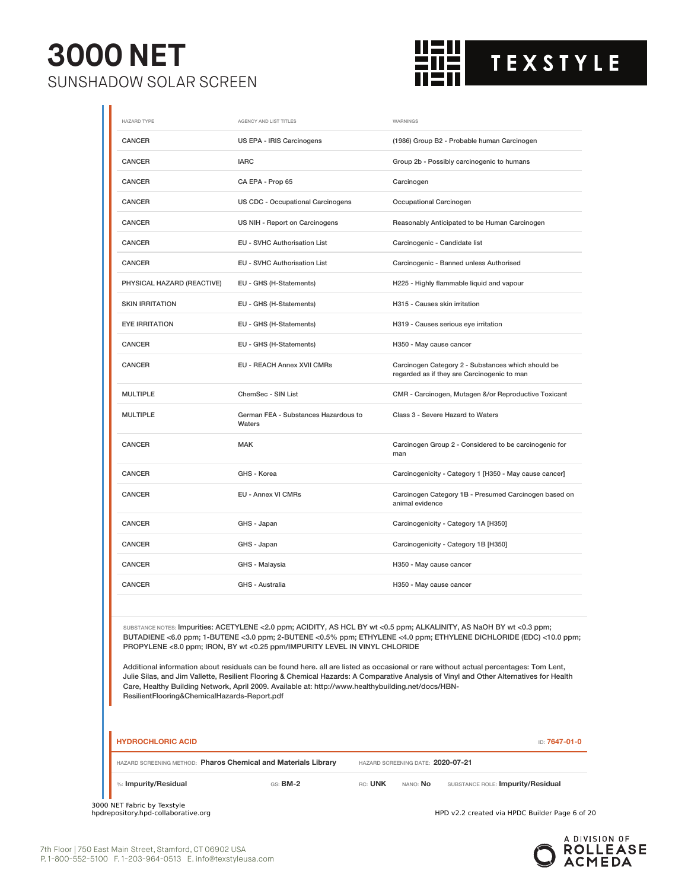

| <b>HAZARD TYPE</b>         | AGENCY AND LIST TITLES                                                     | WARNINGS                                                                                                                                                                                                                                                                                                                                                                              |
|----------------------------|----------------------------------------------------------------------------|---------------------------------------------------------------------------------------------------------------------------------------------------------------------------------------------------------------------------------------------------------------------------------------------------------------------------------------------------------------------------------------|
| <b>CANCER</b>              | US EPA - IRIS Carcinogens                                                  | (1986) Group B2 - Probable human Carcinogen                                                                                                                                                                                                                                                                                                                                           |
| <b>CANCER</b>              | <b>IARC</b>                                                                | Group 2b - Possibly carcinogenic to humans                                                                                                                                                                                                                                                                                                                                            |
| CANCER                     | CA EPA - Prop 65                                                           | Carcinogen                                                                                                                                                                                                                                                                                                                                                                            |
| <b>CANCER</b>              | US CDC - Occupational Carcinogens                                          | Occupational Carcinogen                                                                                                                                                                                                                                                                                                                                                               |
| <b>CANCER</b>              | US NIH - Report on Carcinogens                                             | Reasonably Anticipated to be Human Carcinogen                                                                                                                                                                                                                                                                                                                                         |
| <b>CANCER</b>              | <b>EU - SVHC Authorisation List</b>                                        | Carcinogenic - Candidate list                                                                                                                                                                                                                                                                                                                                                         |
| CANCER                     | EU - SVHC Authorisation List                                               | Carcinogenic - Banned unless Authorised                                                                                                                                                                                                                                                                                                                                               |
| PHYSICAL HAZARD (REACTIVE) | EU - GHS (H-Statements)                                                    | H225 - Highly flammable liquid and vapour                                                                                                                                                                                                                                                                                                                                             |
| <b>SKIN IRRITATION</b>     | EU - GHS (H-Statements)                                                    | H315 - Causes skin irritation                                                                                                                                                                                                                                                                                                                                                         |
| <b>EYE IRRITATION</b>      | EU - GHS (H-Statements)                                                    | H319 - Causes serious eye irritation                                                                                                                                                                                                                                                                                                                                                  |
| <b>CANCER</b>              | EU - GHS (H-Statements)                                                    | H350 - May cause cancer                                                                                                                                                                                                                                                                                                                                                               |
| <b>CANCER</b>              | <b>EU - REACH Annex XVII CMRs</b>                                          | Carcinogen Category 2 - Substances which should be<br>regarded as if they are Carcinogenic to man                                                                                                                                                                                                                                                                                     |
| <b>MULTIPLE</b>            | ChemSec - SIN List                                                         | CMR - Carcinogen, Mutagen &/or Reproductive Toxicant                                                                                                                                                                                                                                                                                                                                  |
| <b>MULTIPLE</b>            | German FEA - Substances Hazardous to<br>Waters                             | Class 3 - Severe Hazard to Waters                                                                                                                                                                                                                                                                                                                                                     |
| <b>CANCER</b>              | <b>MAK</b>                                                                 | Carcinogen Group 2 - Considered to be carcinogenic for<br>man                                                                                                                                                                                                                                                                                                                         |
| CANCER                     | GHS - Korea                                                                | Carcinogenicity - Category 1 [H350 - May cause cancer]                                                                                                                                                                                                                                                                                                                                |
| CANCER                     | EU - Annex VI CMRs                                                         | Carcinogen Category 1B - Presumed Carcinogen based on<br>animal evidence                                                                                                                                                                                                                                                                                                              |
| CANCER                     | GHS - Japan                                                                | Carcinogenicity - Category 1A [H350]                                                                                                                                                                                                                                                                                                                                                  |
| <b>CANCER</b>              | GHS - Japan                                                                | Carcinogenicity - Category 1B [H350]                                                                                                                                                                                                                                                                                                                                                  |
| <b>CANCER</b>              | GHS - Malaysia                                                             | H350 - May cause cancer                                                                                                                                                                                                                                                                                                                                                               |
| <b>CANCER</b>              | GHS - Australia                                                            | H350 - May cause cancer                                                                                                                                                                                                                                                                                                                                                               |
|                            | PROPYLENE <8.0 ppm; IRON, BY wt <0.25 ppm/IMPURITY LEVEL IN VINYL CHLORIDE | SUBSTANCE NOTES: Impurities: ACETYLENE < 2.0 ppm; ACIDITY, AS HCL BY wt < 0.5 ppm; ALKALINITY, AS NaOH BY wt < 0.3 ppm;<br>BUTADIENE <6.0 ppm; 1-BUTENE <3.0 ppm; 2-BUTENE <0.5% ppm; ETHYLENE <4.0 ppm; ETHYLENE DICHLORIDE (EDC) <10.0 ppm;<br>Additional information about residuals can be found here. all are listed as occasional or rare without actual percentages: Tom Lent, |

Julie Silas, and Jim Vallette, Resilient Flooring & Chemical Hazards: A Comparative Analysis of Vinyl and Other Alternatives for Health Care, Healthy Building Network, April 2009. Available at: http://www.healthybuilding.net/docs/HBN-ResilientFlooring&ChemicalHazards-Report.pdf

| <b>HYDROCHLORIC ACID</b>                                       |            |         |                                   | ID: 7647-01-0                     |
|----------------------------------------------------------------|------------|---------|-----------------------------------|-----------------------------------|
| HAZARD SCREENING METHOD: Pharos Chemical and Materials Library |            |         | HAZARD SCREENING DATE: 2020-07-21 |                                   |
| %: Impurity/Residual                                           | $GS:$ BM-2 | RC: UNK | NANO: <b>No</b>                   | SUBSTANCE ROLE: Impurity/Residual |

3000 NET Fabric by Texstyle

HPD v2.2 created via HPDC Builder Page 6 of 20

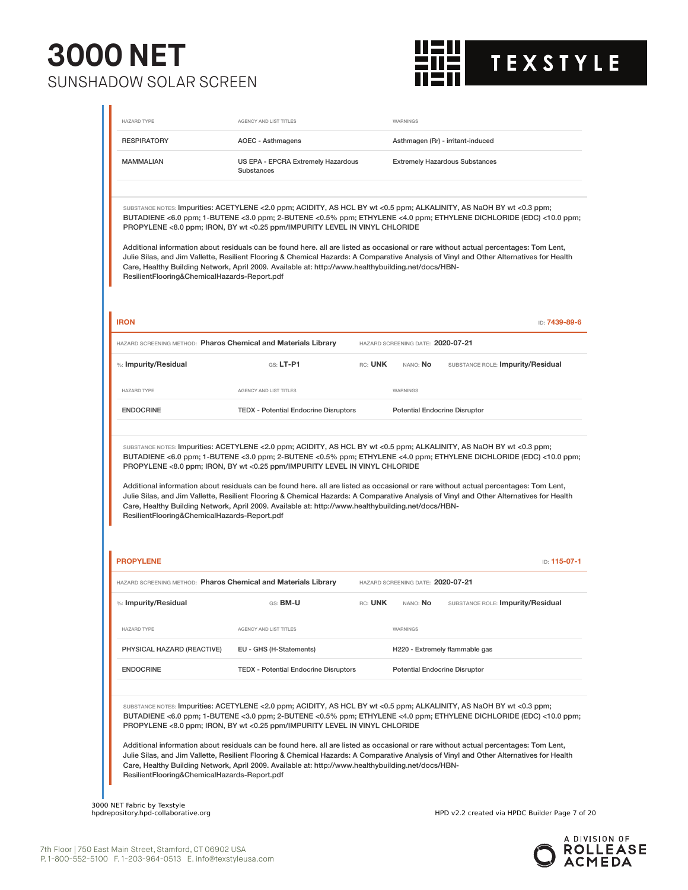

| <b>RESPIRATORY</b>                                             | AOEC - Asthmagens                                                                                                                                                                                                                                                                                        |         |                                   | Asthmagen (Rr) - irritant-induced                                                                                                                                                                                                                                                                                                                                                                     |
|----------------------------------------------------------------|----------------------------------------------------------------------------------------------------------------------------------------------------------------------------------------------------------------------------------------------------------------------------------------------------------|---------|-----------------------------------|-------------------------------------------------------------------------------------------------------------------------------------------------------------------------------------------------------------------------------------------------------------------------------------------------------------------------------------------------------------------------------------------------------|
| <b>MAMMALIAN</b>                                               | US EPA - EPCRA Extremely Hazardous<br><b>Substances</b>                                                                                                                                                                                                                                                  |         |                                   | <b>Extremely Hazardous Substances</b>                                                                                                                                                                                                                                                                                                                                                                 |
| ResilientFlooring&ChemicalHazards-Report.pdf                   | SUBSTANCE NOTES: Impurities: ACETYLENE <2.0 ppm; ACIDITY, AS HCL BY wt <0.5 ppm; ALKALINITY, AS NaOH BY wt <0.3 ppm;<br>PROPYLENE <8.0 ppm; IRON, BY wt <0.25 ppm/IMPURITY LEVEL IN VINYL CHLORIDE<br>Care, Healthy Building Network, April 2009. Available at: http://www.healthybuilding.net/docs/HBN- |         |                                   | BUTADIENE <6.0 ppm; 1-BUTENE <3.0 ppm; 2-BUTENE <0.5% ppm; ETHYLENE <4.0 ppm; ETHYLENE DICHLORIDE (EDC) <10.0 ppm;<br>Additional information about residuals can be found here. all are listed as occasional or rare without actual percentages: Tom Lent,<br>Julie Silas, and Jim Vallette, Resilient Flooring & Chemical Hazards: A Comparative Analysis of Vinyl and Other Alternatives for Health |
| <b>IRON</b>                                                    |                                                                                                                                                                                                                                                                                                          |         |                                   | ID: 7439-89-6                                                                                                                                                                                                                                                                                                                                                                                         |
| HAZARD SCREENING METHOD: Pharos Chemical and Materials Library |                                                                                                                                                                                                                                                                                                          |         | HAZARD SCREENING DATE: 2020-07-21 |                                                                                                                                                                                                                                                                                                                                                                                                       |
| %: Impurity/Residual                                           | $G.S.$ LT-P1                                                                                                                                                                                                                                                                                             | RC: UNK | NANO: No                          | SUBSTANCE ROLE: Impurity/Residual                                                                                                                                                                                                                                                                                                                                                                     |
| <b>HAZARD TYPE</b>                                             | <b>AGENCY AND LIST TITLES</b>                                                                                                                                                                                                                                                                            |         | WARNINGS                          |                                                                                                                                                                                                                                                                                                                                                                                                       |
| <b>ENDOCRINE</b>                                               | <b>TEDX - Potential Endocrine Disruptors</b>                                                                                                                                                                                                                                                             |         |                                   | <b>Potential Endocrine Disruptor</b>                                                                                                                                                                                                                                                                                                                                                                  |
|                                                                | SUBSTANCE NOTES: Impurities: ACETYLENE <2.0 ppm; ACIDITY, AS HCL BY wt <0.5 ppm; ALKALINITY, AS NaOH BY wt <0.3 ppm;<br>PROPYLENE <8.0 ppm; IRON, BY wt <0.25 ppm/IMPURITY LEVEL IN VINYL CHLORIDE                                                                                                       |         |                                   | BUTADIENE <6.0 ppm; 1-BUTENE <3.0 ppm; 2-BUTENE <0.5% ppm; ETHYLENE <4.0 ppm; ETHYLENE DICHLORIDE (EDC) <10.0 ppm;<br>Additional information about residuals can be found here. all are listed as occasional or rare without actual percentages: Tom Lent,<br>Julie Silas, and Jim Vallette, Resilient Flooring & Chemical Hazards: A Comparative Analysis of Vinyl and Other Alternatives for Health |
| ResilientFlooring&ChemicalHazards-Report.pdf                   | Care, Healthy Building Network, April 2009. Available at: http://www.healthybuilding.net/docs/HBN-                                                                                                                                                                                                       |         |                                   |                                                                                                                                                                                                                                                                                                                                                                                                       |
|                                                                |                                                                                                                                                                                                                                                                                                          |         |                                   |                                                                                                                                                                                                                                                                                                                                                                                                       |
| <b>PROPYLENE</b>                                               |                                                                                                                                                                                                                                                                                                          |         |                                   | ID: 115-07-1                                                                                                                                                                                                                                                                                                                                                                                          |
| HAZARD SCREENING METHOD: Pharos Chemical and Materials Library |                                                                                                                                                                                                                                                                                                          |         | HAZARD SCREENING DATE: 2020-07-21 |                                                                                                                                                                                                                                                                                                                                                                                                       |
| %: Impurity/Residual                                           | GS: BM-U                                                                                                                                                                                                                                                                                                 | RC: UNK | NANO: No                          | SUBSTANCE ROLE: Impurity/Residual                                                                                                                                                                                                                                                                                                                                                                     |
| <b>HAZARD TYPE</b>                                             | <b>AGENCY AND LIST TITLES</b>                                                                                                                                                                                                                                                                            |         | WARNINGS                          |                                                                                                                                                                                                                                                                                                                                                                                                       |
| PHYSICAL HAZARD (REACTIVE)                                     | EU - GHS (H-Statements)                                                                                                                                                                                                                                                                                  |         |                                   | H220 - Extremely flammable gas                                                                                                                                                                                                                                                                                                                                                                        |
| <b>ENDOCRINE</b>                                               | <b>TEDX</b> - Potential Endocrine Disruptors                                                                                                                                                                                                                                                             |         |                                   | <b>Potential Endocrine Disruptor</b>                                                                                                                                                                                                                                                                                                                                                                  |
|                                                                | substance notes: Impurities: ACETYLENE <2.0 ppm; ACIDITY, AS HCL BY wt <0.5 ppm; ALKALINITY, AS NaOH BY wt <0.3 ppm;<br>PROPYLENE <8.0 ppm; IRON, BY wt <0.25 ppm/IMPURITY LEVEL IN VINYL CHLORIDE<br>Care, Healthy Building Network, April 2009. Available at: http://www.healthybuilding.net/docs/HBN- |         |                                   | BUTADIENE <6.0 ppm; 1-BUTENE <3.0 ppm; 2-BUTENE <0.5% ppm; ETHYLENE <4.0 ppm; ETHYLENE DICHLORIDE (EDC) <10.0 ppm;<br>Additional information about residuals can be found here. all are listed as occasional or rare without actual percentages: Tom Lent,<br>Julie Silas, and Jim Vallette, Resilient Flooring & Chemical Hazards: A Comparative Analysis of Vinyl and Other Alternatives for Health |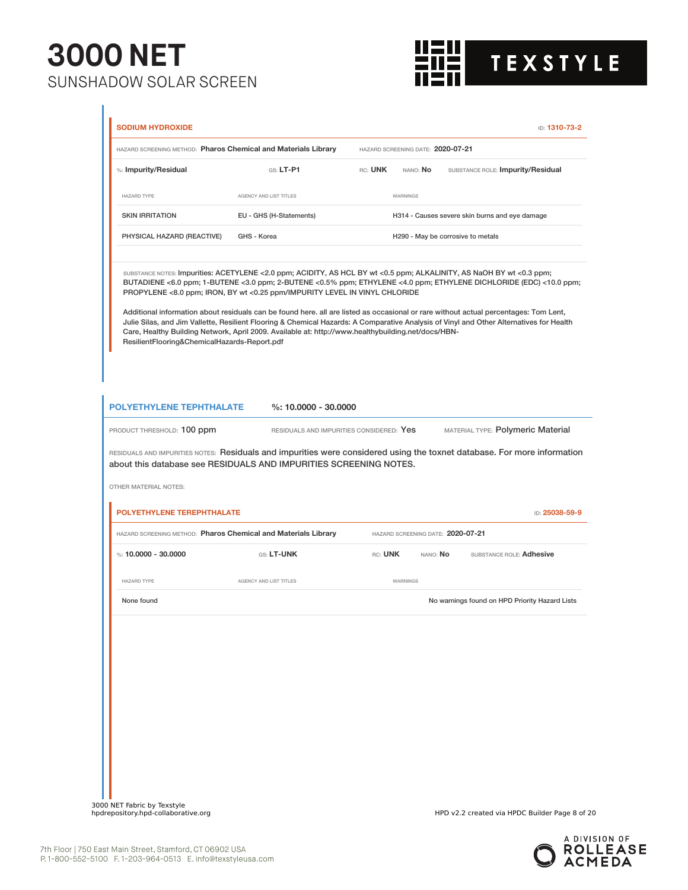

|                                                                                                                                              | HAZARD SCREENING METHOD: Pharos Chemical and Materials Library                                                                                                                                                                                                                                                                                                                                                                                                                                                                                                                                                                                                                                                    | HAZARD SCREENING DATE: 2020-07-21 |                                               |                                                |
|----------------------------------------------------------------------------------------------------------------------------------------------|-------------------------------------------------------------------------------------------------------------------------------------------------------------------------------------------------------------------------------------------------------------------------------------------------------------------------------------------------------------------------------------------------------------------------------------------------------------------------------------------------------------------------------------------------------------------------------------------------------------------------------------------------------------------------------------------------------------------|-----------------------------------|-----------------------------------------------|------------------------------------------------|
| %: Impurity/Residual                                                                                                                         | $G.S. LT-P1$                                                                                                                                                                                                                                                                                                                                                                                                                                                                                                                                                                                                                                                                                                      | RC: UNK                           | nano: <b>No</b>                               | SUBSTANCE ROLE: Impurity/Residual              |
| HAZARD TYPE                                                                                                                                  | AGENCY AND LIST TITLES                                                                                                                                                                                                                                                                                                                                                                                                                                                                                                                                                                                                                                                                                            | WARNINGS                          |                                               |                                                |
| <b>SKIN IRRITATION</b>                                                                                                                       | EU - GHS (H-Statements)                                                                                                                                                                                                                                                                                                                                                                                                                                                                                                                                                                                                                                                                                           |                                   |                                               | H314 - Causes severe skin burns and eye damage |
| PHYSICAL HAZARD (REACTIVE)                                                                                                                   | GHS - Korea                                                                                                                                                                                                                                                                                                                                                                                                                                                                                                                                                                                                                                                                                                       |                                   | H290 - May be corrosive to metals             |                                                |
| ResilientFlooring&ChemicalHazards-Report.pdf                                                                                                 | SUBSTANCE NOTES: Impurities: ACETYLENE <2.0 ppm; ACIDITY, AS HCL BY wt <0.5 ppm; ALKALINITY, AS NaOH BY wt <0.3 ppm;<br>BUTADIENE <6.0 ppm; 1-BUTENE <3.0 ppm; 2-BUTENE <0.5% ppm; ETHYLENE <4.0 ppm; ETHYLENE DICHLORIDE (EDC) <10.0 ppm;<br>PROPYLENE <8.0 ppm; IRON, BY wt <0.25 ppm/IMPURITY LEVEL IN VINYL CHLORIDE<br>Additional information about residuals can be found here. all are listed as occasional or rare without actual percentages: Tom Lent,<br>Julie Silas, and Jim Vallette, Resilient Flooring & Chemical Hazards: A Comparative Analysis of Vinyl and Other Alternatives for Health<br>Care, Healthy Building Network, April 2009. Available at: http://www.healthybuilding.net/docs/HBN- |                                   |                                               |                                                |
|                                                                                                                                              |                                                                                                                                                                                                                                                                                                                                                                                                                                                                                                                                                                                                                                                                                                                   |                                   |                                               |                                                |
|                                                                                                                                              | $%: 10,0000 - 30,0000$<br>RESIDUALS AND IMPURITIES CONSIDERED: Yes<br>RESIDUALS AND IMPURITIES NOTES: Residuals and impurities were considered using the toxnet database. For more information<br>about this database see RESIDUALS AND IMPURITIES SCREENING NOTES.                                                                                                                                                                                                                                                                                                                                                                                                                                               |                                   |                                               | MATERIAL TYPE: Polymeric Material              |
|                                                                                                                                              |                                                                                                                                                                                                                                                                                                                                                                                                                                                                                                                                                                                                                                                                                                                   |                                   |                                               | ID: 25038-59-9                                 |
| <b>POLYETHYLENE TEPHTHALATE</b><br>PRODUCT THRESHOLD: 100 ppm<br>OTHER MATERIAL NOTES:<br>POLYETHYLENE TEREPHTHALATE<br>%: 10,0000 - 30,0000 | HAZARD SCREENING METHOD: Pharos Chemical and Materials Library<br>GS: LT-UNK                                                                                                                                                                                                                                                                                                                                                                                                                                                                                                                                                                                                                                      | RC: UNK                           | HAZARD SCREENING DATE: 2020-07-21<br>NANO: No | SUBSTANCE ROLE: Adhesive                       |
| <b>HAZARD TYPE</b>                                                                                                                           | AGENCY AND LIST TITLES                                                                                                                                                                                                                                                                                                                                                                                                                                                                                                                                                                                                                                                                                            | WARNINGS                          |                                               |                                                |
| None found                                                                                                                                   |                                                                                                                                                                                                                                                                                                                                                                                                                                                                                                                                                                                                                                                                                                                   |                                   |                                               | No warnings found on HPD Priority Hazard Lists |
|                                                                                                                                              |                                                                                                                                                                                                                                                                                                                                                                                                                                                                                                                                                                                                                                                                                                                   |                                   |                                               |                                                |
|                                                                                                                                              |                                                                                                                                                                                                                                                                                                                                                                                                                                                                                                                                                                                                                                                                                                                   |                                   |                                               |                                                |
|                                                                                                                                              |                                                                                                                                                                                                                                                                                                                                                                                                                                                                                                                                                                                                                                                                                                                   |                                   |                                               |                                                |
|                                                                                                                                              |                                                                                                                                                                                                                                                                                                                                                                                                                                                                                                                                                                                                                                                                                                                   |                                   |                                               |                                                |
|                                                                                                                                              |                                                                                                                                                                                                                                                                                                                                                                                                                                                                                                                                                                                                                                                                                                                   |                                   |                                               |                                                |

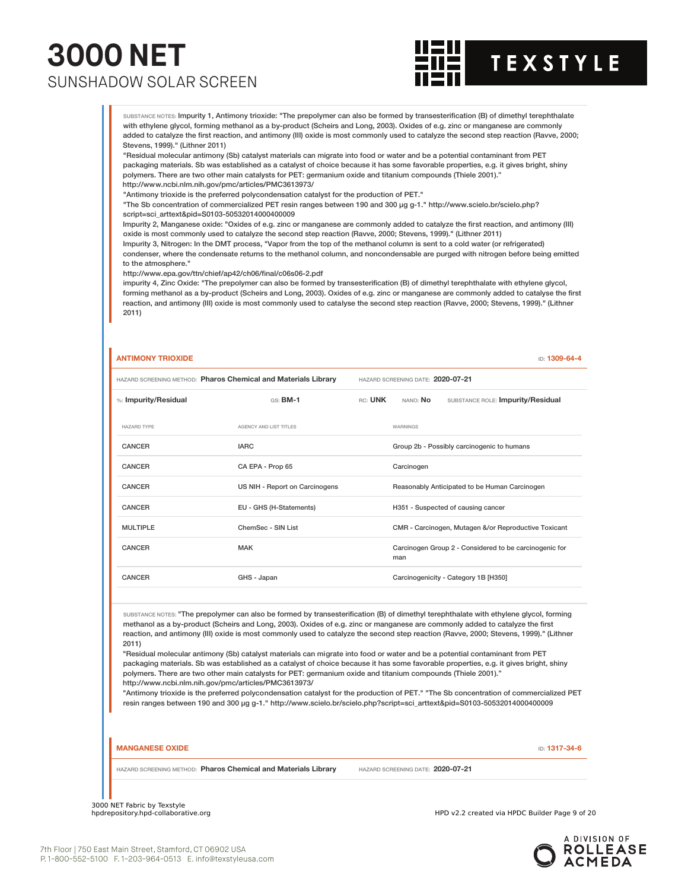

SUBSTANCE NOTES: Impurity 1, Antimony trioxide: "The prepolymer can also be formed by transesterification (B) of dimethyl terephthalate with ethylene glycol, forming methanol as a by-product (Scheirs and Long, 2003). Oxides of e.g. zinc or manganese are commonly added to catalyze the first reaction, and antimony (III) oxide is most commonly used to catalyze the second step reaction (Ravve, 2000; Stevens, 1999)." (Lithner 2011)

"Residual molecular antimony (Sb) catalyst materials can migrate into food or water and be a potential contaminant from PET packaging materials. Sb was established as a catalyst of choice because it has some favorable properties, e.g. it gives bright, shiny polymers. There are two other main catalysts for PET: germanium oxide and titanium compounds (Thiele 2001)." http://www.ncbi.nlm.nih.gov/pmc/articles/PMC3613973/

"Antimony trioxide is the preferred polycondensation catalyst for the production of PET."

"The Sb concentration of commercialized PET resin ranges between 190 and 300 µg g-1." http://www.scielo.br/scielo.php? script=sci\_arttext&pid=S0103-50532014000400009

Impurity 2, Manganese oxide: "Oxides of e.g. zinc or manganese are commonly added to catalyze the first reaction, and antimony (III) oxide is most commonly used to catalyze the second step reaction (Ravve, 2000; Stevens, 1999)." (Lithner 2011)

Impurity 3, Nitrogen: In the DMT process, "Vapor from the top of the methanol column is sent to a cold water (or refrigerated) condenser, where the condensate returns to the methanol column, and noncondensable are purged with nitrogen before being emitted to the atmosphere."

http://www.epa.gov/ttn/chief/ap42/ch06/final/c06s06-2.pdf

impurity 4, Zinc Oxide: "The prepolymer can also be formed by transesterification (B) of dimethyl terephthalate with ethylene glycol, forming methanol as a by-product (Scheirs and Long, 2003). Oxides of e.g. zinc or manganese are commonly added to catalyse the first reaction, and antimony (III) oxide is most commonly used to catalyse the second step reaction (Ravve, 2000; Stevens, 1999)." (Lithner 2011)

#### **ANTIMONY TRIOXIDE** ID: **1309-64-4**

HAZARD SCREENING METHOD: **Pharos Chemical and Materials Library** HAZARD SCREENING DATE: **2020-07-21** %: **Impurity/Residual** GS: **BM-1** RC: **UNK** NANO: **No** SUBSTANCE ROLE: **Impurity/Residual** HAZARD TYPE AGENCY AND LIST TITLES WARNINGS CANCER **IARC** IARC **GROUP 20 - Possibly carcinogenic to humans** CANCER CA EPA - Prop 65 Carcinogen CANCER US NIH - Report on Carcinogens Reasonably Anticipated to be Human Carcinogen CANCER EU - GHS (H-Statements) H351 - Suspected of causing cancer MULTIPLE ChemSec - SIN List Company CMR - Carcinogen, Mutagen &/or Reproductive Toxicant CANCER MAK MAK Carcinogen Group 2 - Considered to be carcinogenic for man CANCER GHS - Japan Carcinogenicity - Category 1B [H350]

SUBSTANCE NOTES: "The prepolymer can also be formed by transesterification (B) of dimethyl terephthalate with ethylene glycol, forming methanol as a by-product (Scheirs and Long, 2003). Oxides of e.g. zinc or manganese are commonly added to catalyze the first reaction, and antimony (III) oxide is most commonly used to catalyze the second step reaction (Ravve, 2000; Stevens, 1999)." (Lithner 2011)

"Residual molecular antimony (Sb) catalyst materials can migrate into food or water and be a potential contaminant from PET packaging materials. Sb was established as a catalyst of choice because it has some favorable properties, e.g. it gives bright, shiny polymers. There are two other main catalysts for PET: germanium oxide and titanium compounds (Thiele 2001)." http://www.ncbi.nlm.nih.gov/pmc/articles/PMC3613973/

"Antimony trioxide is the preferred polycondensation catalyst for the production of PET." "The Sb concentration of commercialized PET resin ranges between 190 and 300 µg g-1." http://www.scielo.br/scielo.php?script=sci\_arttext&pid=S0103-50532014000400009

**MANGANESE OXIDE** ID: **1317-34-6**

HAZARD SCREENING METHOD: **Pharos Chemical and Materials Library** HAZARD SCREENING DATE: **2020-07-21**

3000 NET Fabric by Texstyle<br>hpdrepository.hpd-collaborative.org

HPD v2.2 created via HPDC Builder Page 9 of 20

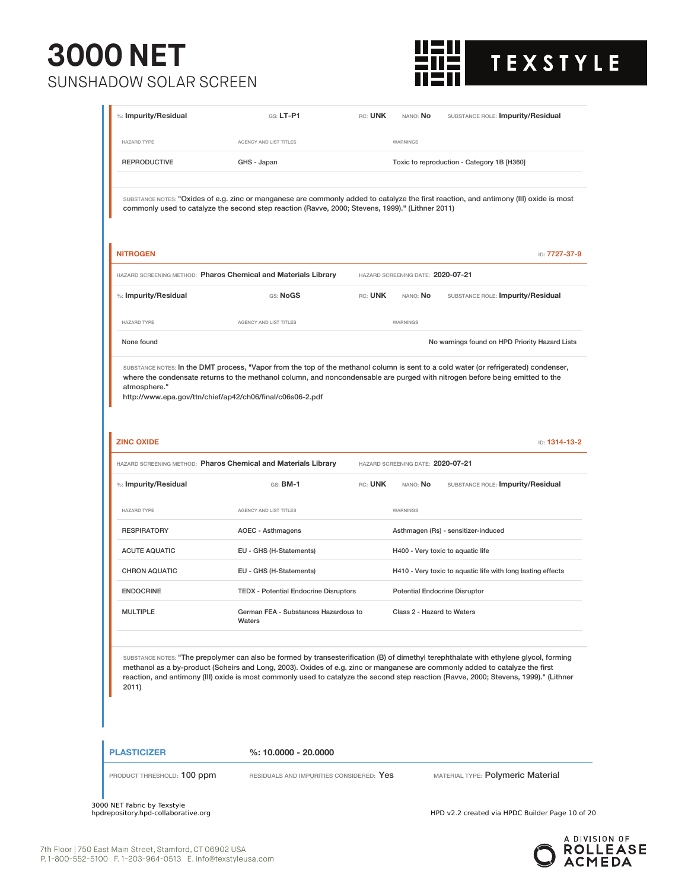### **3000 NET**  SUNSHADOW SOLAR SCREEN



| %: Impurity/Residual              | $G.S.$ LT-P1                                                                                                                                                                              | RC: UNK | NANO: No                             | SUBSTANCE ROLE: Impurity/Residual                                                                                                                                                                                                                                               |
|-----------------------------------|-------------------------------------------------------------------------------------------------------------------------------------------------------------------------------------------|---------|--------------------------------------|---------------------------------------------------------------------------------------------------------------------------------------------------------------------------------------------------------------------------------------------------------------------------------|
| <b>HAZARD TYPE</b>                | AGENCY AND LIST TITLES                                                                                                                                                                    |         | WARNINGS                             |                                                                                                                                                                                                                                                                                 |
| <b>REPRODUCTIVE</b>               | GHS - Japan                                                                                                                                                                               |         |                                      | Toxic to reproduction - Category 1B [H360]                                                                                                                                                                                                                                      |
|                                   | commonly used to catalyze the second step reaction (Ravve, 2000; Stevens, 1999)." (Lithner 2011)                                                                                          |         |                                      | SUBSTANCE NOTES: "Oxides of e.g. zinc or manganese are commonly added to catalyze the first reaction, and antimony (III) oxide is most                                                                                                                                          |
| <b>NITROGEN</b>                   | HAZARD SCREENING METHOD: Pharos Chemical and Materials Library                                                                                                                            |         | HAZARD SCREENING DATE: 2020-07-21    | ID: 7727-37-9                                                                                                                                                                                                                                                                   |
| %: Impurity/Residual              | GS: NoGS                                                                                                                                                                                  | RC: UNK | NANO: No                             | SUBSTANCE ROLE: Impurity/Residual                                                                                                                                                                                                                                               |
| <b>HAZARD TYPE</b>                | AGENCY AND LIST TITLES                                                                                                                                                                    |         | WARNINGS                             |                                                                                                                                                                                                                                                                                 |
| None found                        |                                                                                                                                                                                           |         |                                      | No warnings found on HPD Priority Hazard Lists                                                                                                                                                                                                                                  |
| atmosphere."<br><b>ZINC OXIDE</b> | where the condensate returns to the methanol column, and noncondensable are purged with nitrogen before being emitted to the<br>http://www.epa.gov/ttn/chief/ap42/ch06/final/c06s06-2.pdf |         |                                      | ID: 1314-13-2                                                                                                                                                                                                                                                                   |
|                                   | HAZARD SCREENING METHOD: Pharos Chemical and Materials Library                                                                                                                            |         | HAZARD SCREENING DATE: 2020-07-21    |                                                                                                                                                                                                                                                                                 |
| %: Impurity/Residual              | $GS:$ BM-1                                                                                                                                                                                | RC: UNK | NANO: No                             | SUBSTANCE ROLE: Impurity/Residual                                                                                                                                                                                                                                               |
| <b>HAZARD TYPE</b>                | AGENCY AND LIST TITLES                                                                                                                                                                    |         | WARNINGS                             |                                                                                                                                                                                                                                                                                 |
| <b>RESPIRATORY</b>                | <b>AOEC - Asthmagens</b>                                                                                                                                                                  |         |                                      | Asthmagen (Rs) - sensitizer-induced                                                                                                                                                                                                                                             |
| <b>ACUTE AQUATIC</b>              | EU - GHS (H-Statements)                                                                                                                                                                   |         |                                      | H400 - Very toxic to aquatic life                                                                                                                                                                                                                                               |
| <b>CHRON AQUATIC</b>              | EU - GHS (H-Statements)                                                                                                                                                                   |         |                                      | H410 - Very toxic to aquatic life with long lasting effects                                                                                                                                                                                                                     |
| <b>ENDOCRINE</b>                  | <b>TEDX</b> - Potential Endocrine Disruptors                                                                                                                                              |         | <b>Potential Endocrine Disruptor</b> |                                                                                                                                                                                                                                                                                 |
| <b>MULTIPLE</b>                   | German FEA - Substances Hazardous to<br>Waters                                                                                                                                            |         | Class 2 - Hazard to Waters           |                                                                                                                                                                                                                                                                                 |
| 2011)                             | methanol as a by-product (Scheirs and Long, 2003). Oxides of e.g. zinc or manganese are commonly added to catalyze the first                                                              |         |                                      | SUBSTANCE NOTES: "The prepolymer can also be formed by transesterification (B) of dimethyl terephthalate with ethylene glycol, forming<br>reaction, and antimony (III) oxide is most commonly used to catalyze the second step reaction (Ravve, 2000; Stevens, 1999)." (Lithner |
| <b>PLASTICIZER</b>                | $%: 10,0000 - 20,0000$                                                                                                                                                                    |         |                                      |                                                                                                                                                                                                                                                                                 |
| PRODUCT THRESHOLD: 100 ppm        | RESIDUALS AND IMPURITIES CONSIDERED: Yes                                                                                                                                                  |         |                                      | MATERIAL TYPE: Polymeric Material                                                                                                                                                                                                                                               |

3000 NET Fabric by Texstyle

HPD v2.2 created via HPDC Builder Page 10 of 20

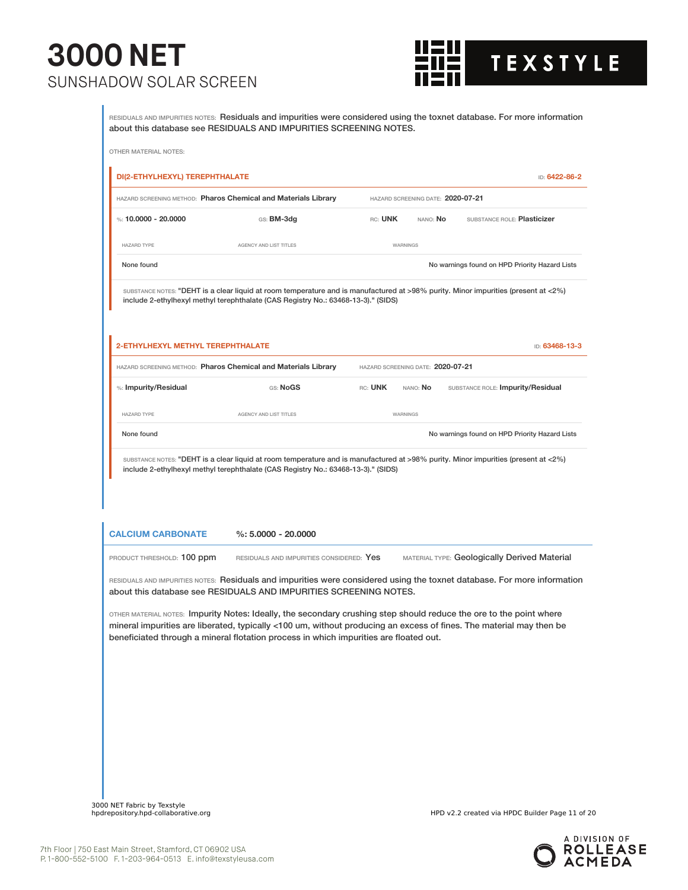

RESIDUALS AND IMPURITIES NOTES: Residuals and impurities were considered using the toxnet database. For more information about this database see RESIDUALS AND IMPURITIES SCREENING NOTES.

|                                                        | HAZARD SCREENING METHOD: Pharos Chemical and Materials Library                                                                                                                                                                                                                                                                      |                                   | HAZARD SCREENING DATE: 2020-07-21 |                                                |
|--------------------------------------------------------|-------------------------------------------------------------------------------------------------------------------------------------------------------------------------------------------------------------------------------------------------------------------------------------------------------------------------------------|-----------------------------------|-----------------------------------|------------------------------------------------|
| %: 10,0000 - 20,0000                                   | GS: BM-3dg                                                                                                                                                                                                                                                                                                                          | RC: UNK                           | nano: <b>No</b>                   | SUBSTANCE ROLE: Plasticizer                    |
| HAZARD TYPE                                            | AGENCY AND LIST TITLES                                                                                                                                                                                                                                                                                                              | WARNINGS                          |                                   |                                                |
| None found                                             |                                                                                                                                                                                                                                                                                                                                     |                                   |                                   | No warnings found on HPD Priority Hazard Lists |
|                                                        | SUBSTANCE NOTES: "DEHT is a clear liquid at room temperature and is manufactured at >98% purity. Minor impurities (present at <2%)<br>include 2-ethylhexyl methyl terephthalate (CAS Registry No.: 63468-13-3)." (SIDS)                                                                                                             |                                   |                                   |                                                |
| 2-ETHYLHEXYL METHYL TEREPHTHALATE                      |                                                                                                                                                                                                                                                                                                                                     |                                   |                                   | ID: 63468-13-3                                 |
|                                                        | HAZARD SCREENING METHOD: Pharos Chemical and Materials Library                                                                                                                                                                                                                                                                      | HAZARD SCREENING DATE: 2020-07-21 |                                   |                                                |
| %: Impurity/Residual                                   | GS: NoGS                                                                                                                                                                                                                                                                                                                            | RC: UNK                           | NANO: No                          | SUBSTANCE ROLE: Impurity/Residual              |
|                                                        |                                                                                                                                                                                                                                                                                                                                     |                                   |                                   |                                                |
| HAZARD TYPE                                            | AGENCY AND LIST TITLES                                                                                                                                                                                                                                                                                                              | WARNINGS                          |                                   |                                                |
| None found                                             | SUBSTANCE NOTES: "DEHT is a clear liquid at room temperature and is manufactured at >98% purity. Minor impurities (present at <2%)<br>include 2-ethylhexyl methyl terephthalate (CAS Registry No.: 63468-13-3)." (SIDS)                                                                                                             |                                   |                                   | No warnings found on HPD Priority Hazard Lists |
|                                                        | $\%: 5.0000 - 20.0000$                                                                                                                                                                                                                                                                                                              |                                   |                                   |                                                |
|                                                        | RESIDUALS AND IMPURITIES CONSIDERED: Yes                                                                                                                                                                                                                                                                                            |                                   |                                   | MATERIAL TYPE: Geologically Derived Material   |
| <b>CALCIUM CARBONATE</b><br>PRODUCT THRESHOLD: 100 ppm | RESIDUALS AND IMPURITIES NOTES: Residuals and impurities were considered using the toxnet database. For more information<br>about this database see RESIDUALS AND IMPURITIES SCREENING NOTES.                                                                                                                                       |                                   |                                   |                                                |
|                                                        | OTHER MATERIAL NOTES: Impurity Notes: Ideally, the secondary crushing step should reduce the ore to the point where<br>mineral impurities are liberated, typically <100 um, without producing an excess of fines. The material may then be<br>beneficiated through a mineral flotation process in which impurities are floated out. |                                   |                                   |                                                |
|                                                        |                                                                                                                                                                                                                                                                                                                                     |                                   |                                   |                                                |
|                                                        |                                                                                                                                                                                                                                                                                                                                     |                                   |                                   |                                                |
|                                                        |                                                                                                                                                                                                                                                                                                                                     |                                   |                                   |                                                |
|                                                        |                                                                                                                                                                                                                                                                                                                                     |                                   |                                   |                                                |

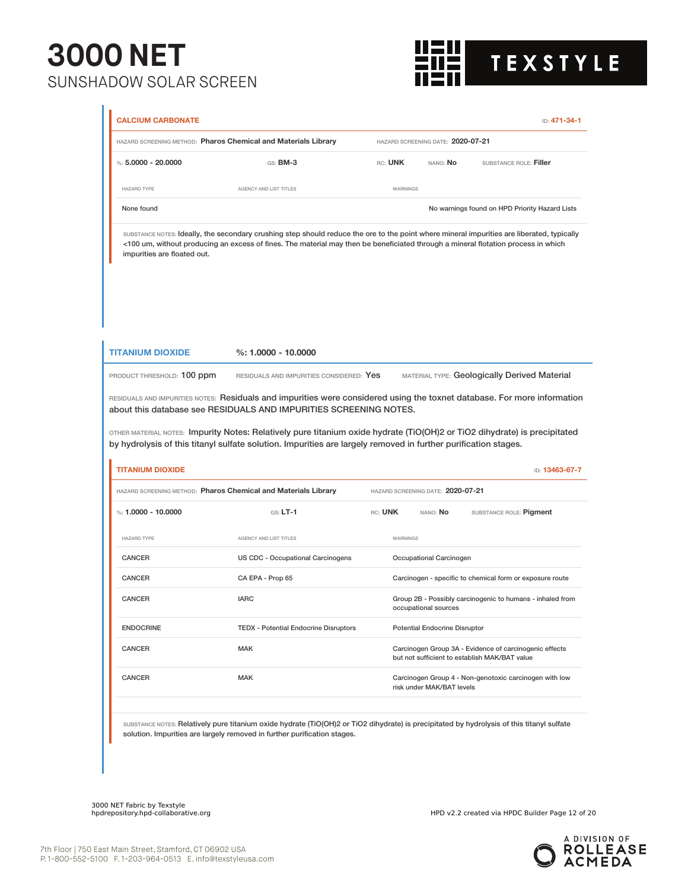

|                                                                                              | HAZARD SCREENING METHOD: Pharos Chemical and Materials Library                                                                                                                                                                                                                  |          | HAZARD SCREENING DATE: 2020-07-21    |                                                                                                         |
|----------------------------------------------------------------------------------------------|---------------------------------------------------------------------------------------------------------------------------------------------------------------------------------------------------------------------------------------------------------------------------------|----------|--------------------------------------|---------------------------------------------------------------------------------------------------------|
| %: $5.0000 - 20.0000$                                                                        | GS: BM-3                                                                                                                                                                                                                                                                        | RC: UNK  | NANO: <b>No</b>                      | SUBSTANCE ROLE: Filler                                                                                  |
| <b>HAZARD TYPE</b>                                                                           | AGENCY AND LIST TITLES                                                                                                                                                                                                                                                          | WARNINGS |                                      |                                                                                                         |
| None found                                                                                   |                                                                                                                                                                                                                                                                                 |          |                                      | No warnings found on HPD Priority Hazard Lists                                                          |
| impurities are floated out.                                                                  | SUBSTANCE NOTES: Ideally, the secondary crushing step should reduce the ore to the point where mineral impurities are liberated, typically<br><100 um, without producing an excess of fines. The material may then be beneficiated through a mineral flotation process in which |          |                                      |                                                                                                         |
| <b>TITANIUM DIOXIDE</b>                                                                      | $%: 1.0000 - 10.0000$                                                                                                                                                                                                                                                           |          |                                      | MATERIAL TYPE: Geologically Derived Material                                                            |
|                                                                                              |                                                                                                                                                                                                                                                                                 |          |                                      |                                                                                                         |
|                                                                                              | RESIDUALS AND IMPURITIES CONSIDERED: Yes<br>RESIDUALS AND IMPURITIES NOTES: Residuals and impurities were considered using the toxnet database. For more information<br>about this database see RESIDUALS AND IMPURITIES SCREENING NOTES.                                       |          |                                      |                                                                                                         |
| PRODUCT THRESHOLD: 100 ppm<br><b>TITANIUM DIOXIDE</b>                                        | OTHER MATERIAL NOTES: Impurity Notes: Relatively pure titanium oxide hydrate (TiO(OH)2 or TiO2 dihydrate) is precipitated<br>by hydrolysis of this titanyl sulfate solution. Impurities are largely removed in further purification stages.                                     |          |                                      | ID: 13463-67-7                                                                                          |
|                                                                                              | HAZARD SCREENING METHOD: Pharos Chemical and Materials Library                                                                                                                                                                                                                  |          | HAZARD SCREENING DATE: 2020-07-21    |                                                                                                         |
|                                                                                              | $GS: LT-1$                                                                                                                                                                                                                                                                      | RC: UNK  | NANO: No                             | SUBSTANCE ROLE: Pigment                                                                                 |
|                                                                                              | AGENCY AND LIST TITLES                                                                                                                                                                                                                                                          | WARNINGS |                                      |                                                                                                         |
|                                                                                              | US CDC - Occupational Carcinogens                                                                                                                                                                                                                                               |          | Occupational Carcinogen              |                                                                                                         |
|                                                                                              | CA EPA - Prop 65                                                                                                                                                                                                                                                                |          |                                      | Carcinogen - specific to chemical form or exposure route                                                |
| %: 1.0000 - 10.0000<br><b>HAZARD TYPE</b><br><b>CANCER</b><br><b>CANCER</b><br><b>CANCER</b> | <b>IARC</b>                                                                                                                                                                                                                                                                     |          | occupational sources                 | Group 2B - Possibly carcinogenic to humans - inhaled from                                               |
| <b>ENDOCRINE</b>                                                                             | <b>TEDX</b> - Potential Endocrine Disruptors                                                                                                                                                                                                                                    |          | <b>Potential Endocrine Disruptor</b> |                                                                                                         |
| CANCER                                                                                       | MAK                                                                                                                                                                                                                                                                             |          |                                      | Carcinogen Group 3A - Evidence of carcinogenic effects<br>but not sufficient to establish MAK/BAT value |

SUBSTANCE NOTES: Relatively pure titanium oxide hydrate (TiO(OH)2 or TiO2 dihydrate) is precipitated by hydrolysis of this titanyl sulfate solution. Impurities are largely removed in further purification stages.

3000 NET Fabric by Texstyle

HPD v2.2 created via HPDC Builder Page 12 of 20

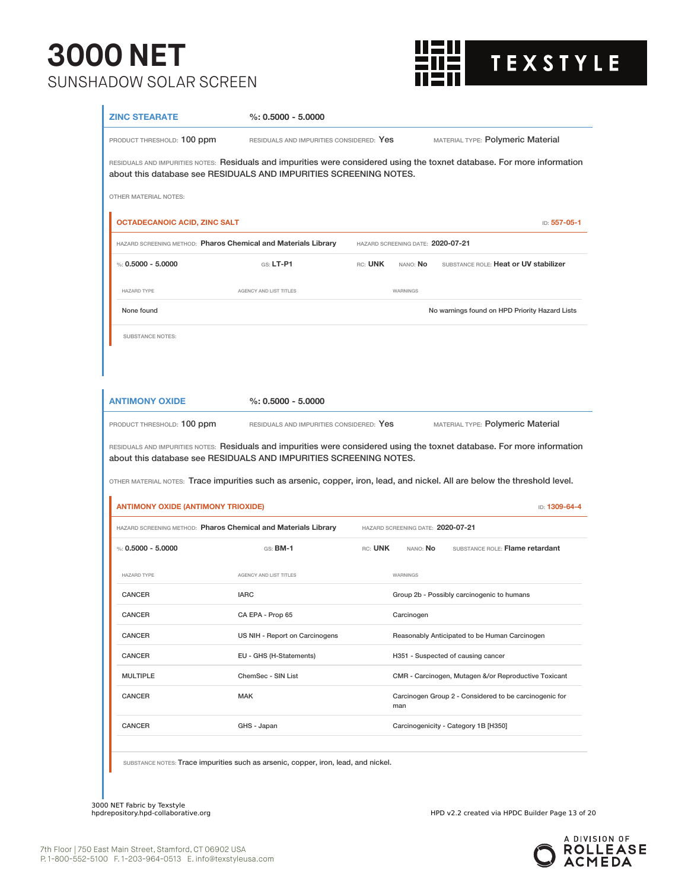

| <b>ZINC STEARATE</b>                                              | $\%: 0.5000 - 5.0000$                                                              |                                   |                                                                                                                            |
|-------------------------------------------------------------------|------------------------------------------------------------------------------------|-----------------------------------|----------------------------------------------------------------------------------------------------------------------------|
| PRODUCT THRESHOLD: 100 ppm                                        | RESIDUALS AND IMPURITIES CONSIDERED: Yes                                           |                                   | MATERIAL TYPE: Polymeric Material                                                                                          |
| about this database see RESIDUALS AND IMPURITIES SCREENING NOTES. |                                                                                    |                                   | RESIDUALS AND IMPURITIES NOTES: Residuals and impurities were considered using the toxnet database. For more information   |
| <b>OTHER MATERIAL NOTES:</b>                                      |                                                                                    |                                   |                                                                                                                            |
| <b>OCTADECANOIC ACID, ZINC SALT</b>                               |                                                                                    |                                   | ID: 557-05-1                                                                                                               |
| HAZARD SCREENING METHOD: Pharos Chemical and Materials Library    |                                                                                    | HAZARD SCREENING DATE: 2020-07-21 |                                                                                                                            |
| %: $0.5000 - 5.0000$                                              | GS: LT-P1                                                                          | RC: UNK<br>NANO: No               | SUBSTANCE ROLE: Heat or UV stabilizer                                                                                      |
| <b>HAZARD TYPE</b>                                                | AGENCY AND LIST TITLES                                                             | WARNINGS                          |                                                                                                                            |
| None found                                                        |                                                                                    |                                   | No warnings found on HPD Priority Hazard Lists                                                                             |
| <b>SUBSTANCE NOTES:</b>                                           |                                                                                    |                                   |                                                                                                                            |
|                                                                   |                                                                                    |                                   |                                                                                                                            |
|                                                                   |                                                                                    |                                   |                                                                                                                            |
| <b>ANTIMONY OXIDE</b>                                             | $\%: 0.5000 - 5.0000$                                                              |                                   |                                                                                                                            |
| PRODUCT THRESHOLD: 100 ppm                                        | RESIDUALS AND IMPURITIES CONSIDERED: Yes                                           |                                   | MATERIAL TYPE: Polymeric Material                                                                                          |
|                                                                   |                                                                                    |                                   |                                                                                                                            |
|                                                                   |                                                                                    |                                   | RESIDUALS AND IMPURITIES NOTES: Residuals and impurities were considered using the toxnet database. For more information   |
| about this database see RESIDUALS AND IMPURITIES SCREENING NOTES. |                                                                                    |                                   |                                                                                                                            |
|                                                                   |                                                                                    |                                   | OTHER MATERIAL NOTES: Trace impurities such as arsenic, copper, iron, lead, and nickel. All are below the threshold level. |
| <b>ANTIMONY OXIDE (ANTIMONY TRIOXIDE)</b>                         |                                                                                    |                                   | ID: 1309-64-4                                                                                                              |
| HAZARD SCREENING METHOD: Pharos Chemical and Materials Library    |                                                                                    | HAZARD SCREENING DATE: 2020-07-21 |                                                                                                                            |
| %: $0.5000 - 5.0000$                                              | GS: <b>BM-1</b>                                                                    | RC: UNK<br>NANO: <b>No</b>        | SUBSTANCE ROLE: Flame retardant                                                                                            |
| <b>HAZARD TYPE</b>                                                | AGENCY AND LIST TITLES                                                             | WARNINGS                          |                                                                                                                            |
| <b>CANCER</b>                                                     | <b>IARC</b>                                                                        |                                   | Group 2b - Possibly carcinogenic to humans                                                                                 |
| CANCER                                                            | CA EPA - Prop 65                                                                   | Carcinogen                        |                                                                                                                            |
| CANCER                                                            | US NIH - Report on Carcinogens                                                     |                                   | Reasonably Anticipated to be Human Carcinogen                                                                              |
| CANCER                                                            | EU - GHS (H-Statements)                                                            |                                   | H351 - Suspected of causing cancer                                                                                         |
| <b>MULTIPLE</b>                                                   | ChemSec - SIN List                                                                 |                                   | CMR - Carcinogen, Mutagen &/or Reproductive Toxicant                                                                       |
| <b>CANCER</b>                                                     | <b>MAK</b>                                                                         | man                               | Carcinogen Group 2 - Considered to be carcinogenic for                                                                     |
| CANCER                                                            | GHS - Japan                                                                        |                                   | Carcinogenicity - Category 1B [H350]                                                                                       |
|                                                                   | SUBSTANCE NOTES: Trace impurities such as arsenic, copper, iron, lead, and nickel. |                                   |                                                                                                                            |

3000 NET Fabric by Texstyle

HPD v2.2 created via HPDC Builder Page 13 of 20

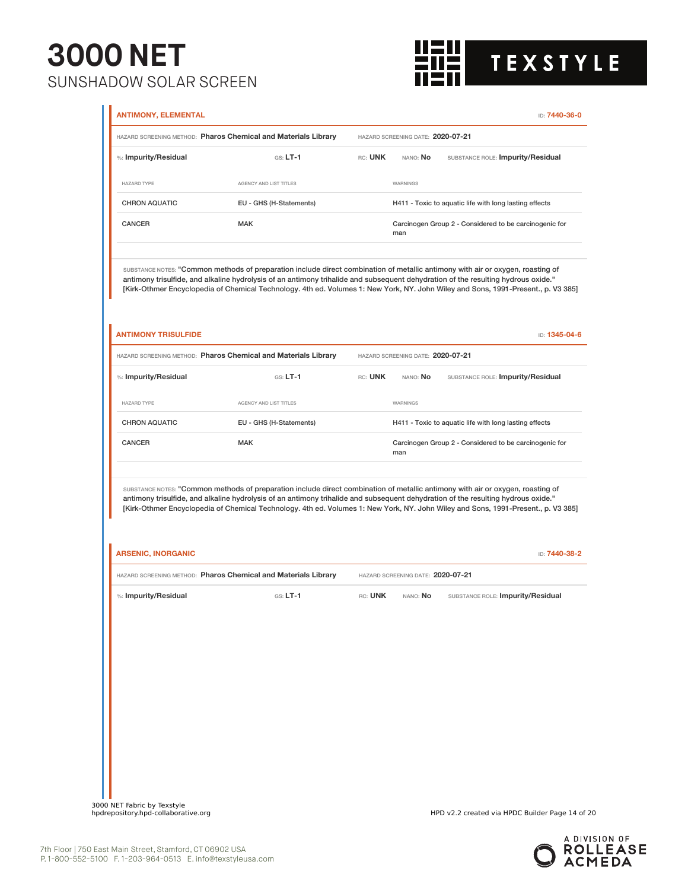

|                            | HAZARD SCREENING METHOD: Pharos Chemical and Materials Library                                                                                                                                                                                                                                                                                                                                            |         | HAZARD SCREENING DATE: 2020-07-21 |                                                        |
|----------------------------|-----------------------------------------------------------------------------------------------------------------------------------------------------------------------------------------------------------------------------------------------------------------------------------------------------------------------------------------------------------------------------------------------------------|---------|-----------------------------------|--------------------------------------------------------|
| %: Impurity/Residual       | $GS: LT-1$                                                                                                                                                                                                                                                                                                                                                                                                | rc: UNK | nano: <b>No</b>                   | SUBSTANCE ROLE: Impurity/Residual                      |
| <b>HAZARD TYPE</b>         | AGENCY AND LIST TITLES                                                                                                                                                                                                                                                                                                                                                                                    |         | WARNINGS                          |                                                        |
| <b>CHRON AQUATIC</b>       | EU - GHS (H-Statements)                                                                                                                                                                                                                                                                                                                                                                                   |         |                                   | H411 - Toxic to aquatic life with long lasting effects |
| CANCER                     | <b>MAK</b>                                                                                                                                                                                                                                                                                                                                                                                                |         | man                               | Carcinogen Group 2 - Considered to be carcinogenic for |
|                            | SUBSTANCE NOTES: "Common methods of preparation include direct combination of metallic antimony with air or oxygen, roasting of<br>antimony trisulfide, and alkaline hydrolysis of an antimony trihalide and subsequent dehydration of the resulting hydrous oxide."<br>[Kirk-Othmer Encyclopedia of Chemical Technology. 4th ed. Volumes 1: New York, NY. John Wiley and Sons, 1991-Present., p. V3 385] |         |                                   |                                                        |
| <b>ANTIMONY TRISULFIDE</b> |                                                                                                                                                                                                                                                                                                                                                                                                           |         |                                   | ID: 1345-04-6                                          |
|                            | HAZARD SCREENING METHOD: Pharos Chemical and Materials Library                                                                                                                                                                                                                                                                                                                                            |         | HAZARD SCREENING DATE: 2020-07-21 |                                                        |
| %: Impurity/Residual       | $GS: LT-1$                                                                                                                                                                                                                                                                                                                                                                                                | RC: UNK | NANO: No                          | SUBSTANCE ROLE: Impurity/Residual                      |
| <b>HAZARD TYPE</b>         | AGENCY AND LIST TITLES                                                                                                                                                                                                                                                                                                                                                                                    |         | WARNINGS                          |                                                        |
| <b>CHRON AQUATIC</b>       | EU - GHS (H-Statements)                                                                                                                                                                                                                                                                                                                                                                                   |         |                                   | H411 - Toxic to aquatic life with long lasting effects |
| <b>CANCER</b>              | <b>MAK</b>                                                                                                                                                                                                                                                                                                                                                                                                |         | man                               | Carcinogen Group 2 - Considered to be carcinogenic for |
|                            | SUBSTANCE NOTES: "Common methods of preparation include direct combination of metallic antimony with air or oxygen, roasting of<br>antimony trisulfide, and alkaline hydrolysis of an antimony trihalide and subsequent dehydration of the resulting hydrous oxide."<br>[Kirk-Othmer Encyclopedia of Chemical Technology. 4th ed. Volumes 1: New York, NY. John Wiley and Sons, 1991-Present., p. V3 385] |         |                                   |                                                        |
| <b>ARSENIC, INORGANIC</b>  |                                                                                                                                                                                                                                                                                                                                                                                                           |         |                                   | ID: 7440-38-2                                          |
|                            | HAZARD SCREENING METHOD: Pharos Chemical and Materials Library                                                                                                                                                                                                                                                                                                                                            |         | HAZARD SCREENING DATE: 2020-07-21 |                                                        |
|                            | $GS: LT-1$                                                                                                                                                                                                                                                                                                                                                                                                | RC: UNK | NANO: No                          | SUBSTANCE ROLE: Impurity/Residual                      |
| %: Impurity/Residual       |                                                                                                                                                                                                                                                                                                                                                                                                           |         |                                   |                                                        |
|                            |                                                                                                                                                                                                                                                                                                                                                                                                           |         |                                   |                                                        |
|                            |                                                                                                                                                                                                                                                                                                                                                                                                           |         |                                   |                                                        |
|                            |                                                                                                                                                                                                                                                                                                                                                                                                           |         |                                   |                                                        |
|                            |                                                                                                                                                                                                                                                                                                                                                                                                           |         |                                   |                                                        |
|                            |                                                                                                                                                                                                                                                                                                                                                                                                           |         |                                   |                                                        |

A DIVISION OF<br>**ROLLEASE**<br>**ACMEDA**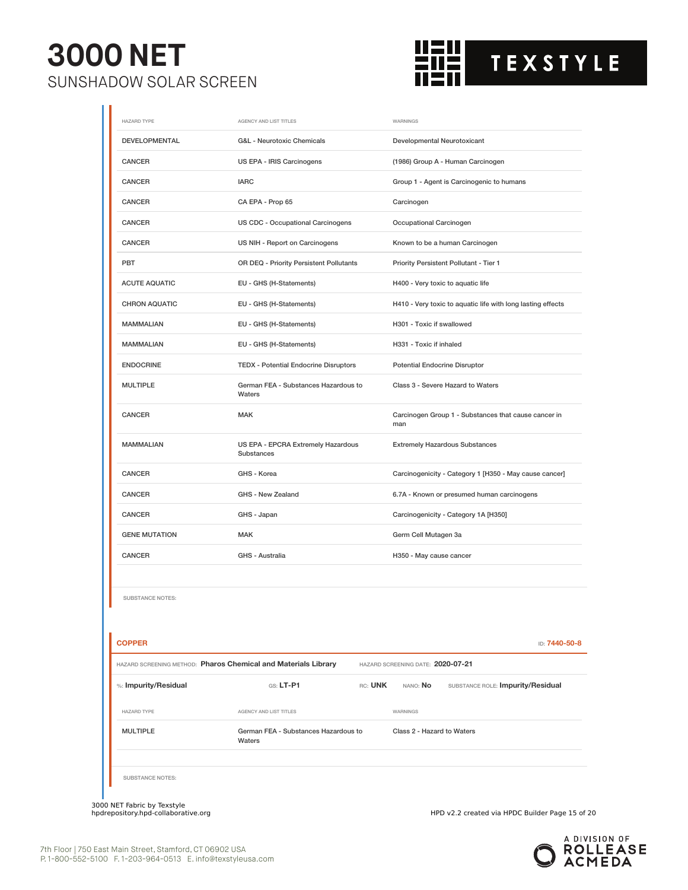

| <b>HAZARD TYPE</b>                                             | AGENCY AND LIST TITLES                           | WARNINGS                                                    |
|----------------------------------------------------------------|--------------------------------------------------|-------------------------------------------------------------|
| DEVELOPMENTAL                                                  | G&L - Neurotoxic Chemicals                       | Developmental Neurotoxicant                                 |
| CANCER                                                         | US EPA - IRIS Carcinogens                        | (1986) Group A - Human Carcinogen                           |
| <b>CANCER</b>                                                  | <b>IARC</b>                                      | Group 1 - Agent is Carcinogenic to humans                   |
| <b>CANCER</b>                                                  | CA EPA - Prop 65                                 | Carcinogen                                                  |
| <b>CANCER</b>                                                  | <b>US CDC - Occupational Carcinogens</b>         | Occupational Carcinogen                                     |
| <b>CANCER</b>                                                  | US NIH - Report on Carcinogens                   | Known to be a human Carcinogen                              |
| PBT                                                            | OR DEQ - Priority Persistent Pollutants          | Priority Persistent Pollutant - Tier 1                      |
| <b>ACUTE AQUATIC</b>                                           | EU - GHS (H-Statements)                          | H400 - Very toxic to aquatic life                           |
| <b>CHRON AQUATIC</b>                                           | EU - GHS (H-Statements)                          | H410 - Very toxic to aquatic life with long lasting effects |
| <b>MAMMALIAN</b>                                               | EU - GHS (H-Statements)                          | H301 - Toxic if swallowed                                   |
| <b>MAMMALIAN</b>                                               | EU - GHS (H-Statements)                          | H331 - Toxic if inhaled                                     |
| <b>ENDOCRINE</b>                                               | <b>TEDX - Potential Endocrine Disruptors</b>     | <b>Potential Endocrine Disruptor</b>                        |
| <b>MULTIPLE</b>                                                | German FEA - Substances Hazardous to<br>Waters   | Class 3 - Severe Hazard to Waters                           |
| <b>CANCER</b>                                                  | <b>MAK</b>                                       | Carcinogen Group 1 - Substances that cause cancer in<br>man |
| <b>MAMMALIAN</b>                                               | US EPA - EPCRA Extremely Hazardous<br>Substances | <b>Extremely Hazardous Substances</b>                       |
| CANCER                                                         | GHS - Korea                                      | Carcinogenicity - Category 1 [H350 - May cause cancer]      |
| <b>CANCER</b>                                                  | GHS - New Zealand                                | 6.7A - Known or presumed human carcinogens                  |
| <b>CANCER</b>                                                  | GHS - Japan                                      | Carcinogenicity - Category 1A [H350]                        |
| <b>GENE MUTATION</b>                                           | <b>MAK</b>                                       | Germ Cell Mutagen 3a                                        |
| <b>CANCER</b>                                                  | GHS - Australia                                  | H350 - May cause cancer                                     |
|                                                                |                                                  |                                                             |
| <b>SUBSTANCE NOTES:</b>                                        |                                                  |                                                             |
|                                                                |                                                  |                                                             |
| <b>COPPER</b>                                                  |                                                  | ID: 7440-50-8                                               |
| HAZARD SCREENING METHOD: Pharos Chemical and Materials Library |                                                  | HAZARD SCREENING DATE: 2020-07-21                           |
| %: Impurity/Residual                                           | GS: LT-P1<br>RC: UNK                             | SUBSTANCE ROLE: Impurity/Residual<br>NANO: No               |
| <b>HAZARD TYPE</b>                                             | AGENCY AND LIST TITLES                           | WARNINGS                                                    |
| <b>MULTIPLE</b>                                                | German FEA - Substances Hazardous to<br>Waters   | Class 2 - Hazard to Waters                                  |
| <b>SUBSTANCE NOTES:</b>                                        |                                                  |                                                             |

3000 NET Fabric by Texstyle

HPD v2.2 created via HPDC Builder Page 15 of 20

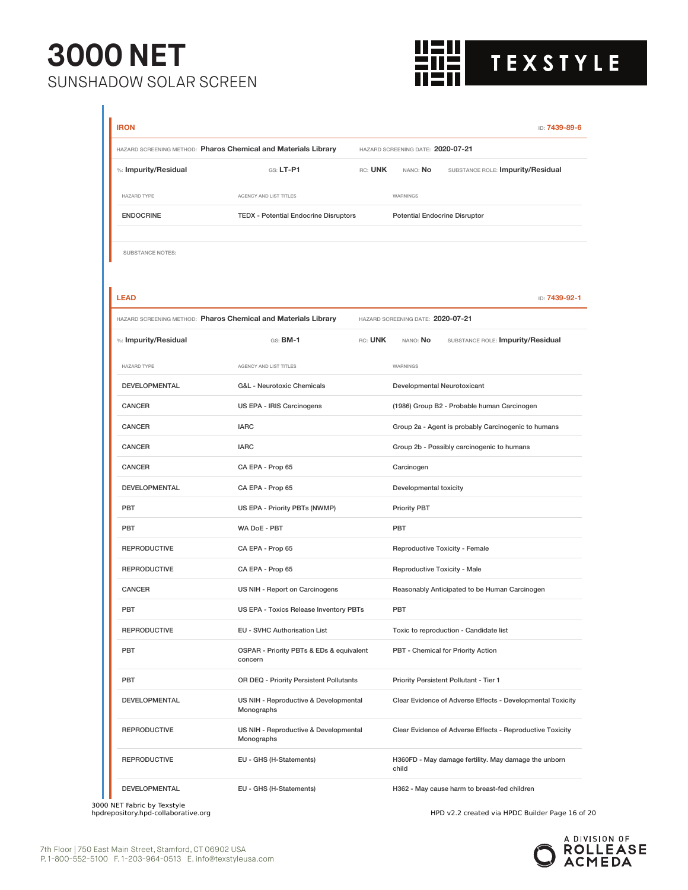

| <b>IRON</b>             |                                                                |                                          |                                   | ID: 7439-89-6                                              |  |
|-------------------------|----------------------------------------------------------------|------------------------------------------|-----------------------------------|------------------------------------------------------------|--|
|                         | HAZARD SCREENING METHOD: Pharos Chemical and Materials Library | HAZARD SCREENING DATE: 2020-07-21        |                                   |                                                            |  |
| %: Impurity/Residual    | $G.S. LT-P1$                                                   | rc: <b>UNK</b>                           | nano: <b>No</b>                   | SUBSTANCE ROLE: Impurity/Residual                          |  |
| <b>HAZARD TYPE</b>      | AGENCY AND LIST TITLES                                         |                                          | WARNINGS                          |                                                            |  |
| <b>ENDOCRINE</b>        | <b>TEDX - Potential Endocrine Disruptors</b>                   | <b>Potential Endocrine Disruptor</b>     |                                   |                                                            |  |
| <b>SUBSTANCE NOTES:</b> |                                                                |                                          |                                   |                                                            |  |
| <b>LEAD</b>             |                                                                |                                          |                                   | ID: 7439-92-1                                              |  |
|                         | HAZARD SCREENING METHOD: Pharos Chemical and Materials Library |                                          | HAZARD SCREENING DATE: 2020-07-21 |                                                            |  |
| %: Impurity/Residual    | $GS:$ BM-1                                                     | RC: UNK                                  | nano: <b>No</b>                   | SUBSTANCE ROLE: Impurity/Residual                          |  |
| HAZARD TYPE             | AGENCY AND LIST TITLES                                         |                                          | WARNINGS                          |                                                            |  |
| DEVELOPMENTAL           | <b>G&amp;L</b> - Neurotoxic Chemicals                          |                                          | Developmental Neurotoxicant       |                                                            |  |
| CANCER                  | US EPA - IRIS Carcinogens                                      |                                          |                                   | (1986) Group B2 - Probable human Carcinogen                |  |
| CANCER                  | <b>IARC</b>                                                    |                                          |                                   | Group 2a - Agent is probably Carcinogenic to humans        |  |
| <b>CANCER</b>           | <b>IARC</b>                                                    |                                          |                                   | Group 2b - Possibly carcinogenic to humans                 |  |
| <b>CANCER</b>           | CA EPA - Prop 65                                               | Carcinogen                               |                                   |                                                            |  |
| <b>DEVELOPMENTAL</b>    | CA EPA - Prop 65                                               | Developmental toxicity                   |                                   |                                                            |  |
| PBT                     | US EPA - Priority PBTs (NWMP)                                  | <b>Priority PBT</b>                      |                                   |                                                            |  |
| PBT                     | WA DoE - PBT                                                   | PBT                                      |                                   |                                                            |  |
| <b>REPRODUCTIVE</b>     | CA EPA - Prop 65                                               | Reproductive Toxicity - Female           |                                   |                                                            |  |
| <b>REPRODUCTIVE</b>     | CA EPA - Prop 65                                               | Reproductive Toxicity - Male             |                                   |                                                            |  |
| <b>CANCER</b>           | US NIH - Report on Carcinogens                                 |                                          |                                   | Reasonably Anticipated to be Human Carcinogen              |  |
| PBT                     |                                                                | US EPA - Toxics Release Inventory PBTs   |                                   | PBT                                                        |  |
| <b>REPRODUCTIVE</b>     | EU - SVHC Authorisation List                                   |                                          |                                   | Toxic to reproduction - Candidate list                     |  |
| PBT                     | concern                                                        | OSPAR - Priority PBTs & EDs & equivalent |                                   | PBT - Chemical for Priority Action                         |  |
| PBT                     |                                                                | OR DEQ - Priority Persistent Pollutants  |                                   | Priority Persistent Pollutant - Tier 1                     |  |
| <b>DEVELOPMENTAL</b>    | Monographs                                                     | US NIH - Reproductive & Developmental    |                                   | Clear Evidence of Adverse Effects - Developmental Toxicity |  |
| <b>REPRODUCTIVE</b>     | Monographs                                                     | US NIH - Reproductive & Developmental    |                                   | Clear Evidence of Adverse Effects - Reproductive Toxicity  |  |
| <b>REPRODUCTIVE</b>     | EU - GHS (H-Statements)                                        |                                          | child                             | H360FD - May damage fertility. May damage the unborn       |  |
| DEVELOPMENTAL           | EU - GHS (H-Statements)                                        |                                          |                                   | H362 - May cause harm to breast-fed children               |  |

3000 NET Fabric by Texstyle<br>hpdrepository.hpd-collaborative.org

HPD v2.2 created via HPDC Builder Page 16 of 20

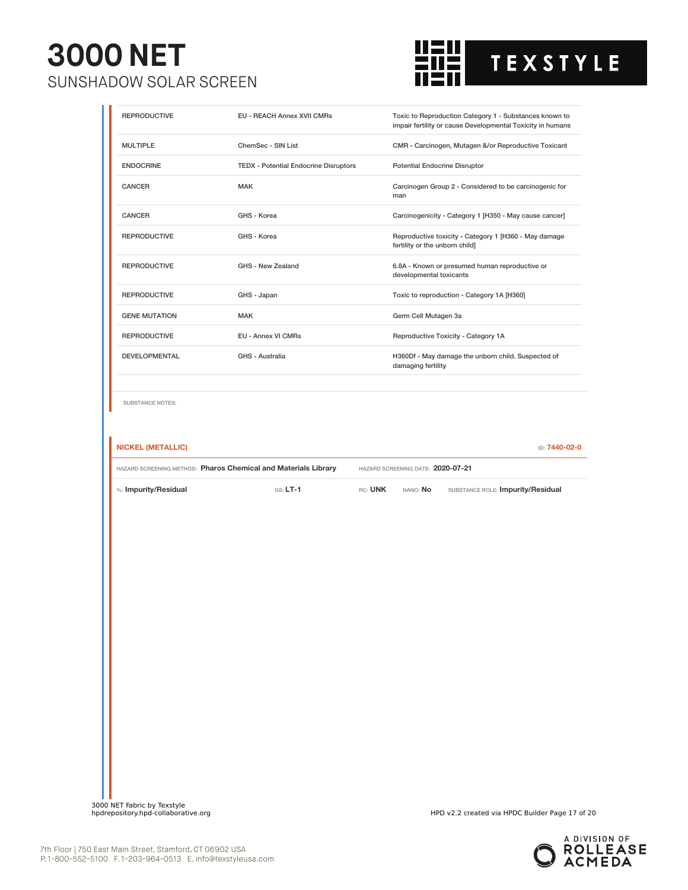

| <b>REPRODUCTIVE</b>                          | EU - REACH Annex XVII CMRs                                     |                                                                          | Toxic to Reproduction Category 1 - Substances known to<br>impair fertility or cause Developmental Toxicity in humans |  |
|----------------------------------------------|----------------------------------------------------------------|--------------------------------------------------------------------------|----------------------------------------------------------------------------------------------------------------------|--|
| <b>MULTIPLE</b>                              | ChemSec - SIN List                                             |                                                                          | CMR - Carcinogen, Mutagen &/or Reproductive Toxicant                                                                 |  |
| <b>ENDOCRINE</b>                             | <b>TEDX - Potential Endocrine Disruptors</b>                   | Potential Endocrine Disruptor                                            |                                                                                                                      |  |
| <b>CANCER</b>                                | <b>MAK</b>                                                     | Carcinogen Group 2 - Considered to be carcinogenic for<br>man            |                                                                                                                      |  |
| CANCER                                       | GHS - Korea                                                    | Carcinogenicity - Category 1 [H350 - May cause cancer]                   |                                                                                                                      |  |
| <b>REPRODUCTIVE</b>                          | GHS - Korea                                                    | fertility or the unborn child]                                           | Reproductive toxicity - Category 1 [H360 - May damage                                                                |  |
| <b>REPRODUCTIVE</b>                          | GHS - New Zealand                                              | developmental toxicants                                                  | 6.8A - Known or presumed human reproductive or                                                                       |  |
| <b>REPRODUCTIVE</b>                          | GHS - Japan                                                    | Toxic to reproduction - Category 1A [H360]                               |                                                                                                                      |  |
| <b>GENE MUTATION</b>                         | <b>MAK</b>                                                     | Germ Cell Mutagen 3a                                                     |                                                                                                                      |  |
| <b>REPRODUCTIVE</b>                          | EU - Annex VI CMRs                                             |                                                                          | Reproductive Toxicity - Category 1A                                                                                  |  |
| DEVELOPMENTAL                                | GHS - Australia                                                | H360Df - May damage the unborn child. Suspected of<br>damaging fertility |                                                                                                                      |  |
| SUBSTANCE NOTES:<br><b>NICKEL (METALLIC)</b> |                                                                |                                                                          |                                                                                                                      |  |
|                                              |                                                                |                                                                          | ID: 7440-02-0                                                                                                        |  |
|                                              | HAZARD SCREENING METHOD: Pharos Chemical and Materials Library | HAZARD SCREENING DATE: 2020-07-21                                        |                                                                                                                      |  |
| %: Impurity/Residual                         | $GS: LT-1$                                                     | RC: UNK<br>NANO: No                                                      | SUBSTANCE ROLE: Impurity/Residual                                                                                    |  |
|                                              |                                                                |                                                                          |                                                                                                                      |  |
|                                              |                                                                |                                                                          |                                                                                                                      |  |
|                                              |                                                                |                                                                          |                                                                                                                      |  |
|                                              |                                                                |                                                                          |                                                                                                                      |  |
|                                              |                                                                |                                                                          |                                                                                                                      |  |
|                                              |                                                                |                                                                          |                                                                                                                      |  |
|                                              |                                                                |                                                                          |                                                                                                                      |  |
|                                              |                                                                |                                                                          |                                                                                                                      |  |
|                                              |                                                                |                                                                          |                                                                                                                      |  |
|                                              |                                                                |                                                                          |                                                                                                                      |  |
|                                              |                                                                |                                                                          |                                                                                                                      |  |
|                                              |                                                                |                                                                          |                                                                                                                      |  |
|                                              |                                                                |                                                                          |                                                                                                                      |  |
|                                              |                                                                |                                                                          |                                                                                                                      |  |



HPD v2.2 created via HPDC Builder Page 17 of 20

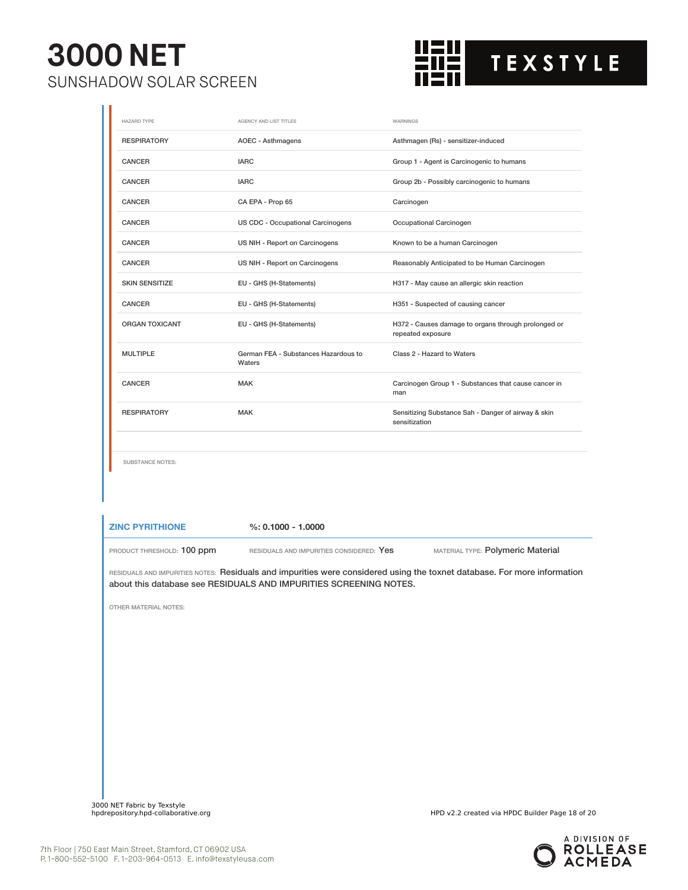П



| <b>HAZARD TYPE</b>      | AGENCY AND LIST TITLES                         | WARNINGS                                                                 |
|-------------------------|------------------------------------------------|--------------------------------------------------------------------------|
| <b>RESPIRATORY</b>      | <b>AOEC - Asthmagens</b>                       | Asthmagen (Rs) - sensitizer-induced                                      |
| <b>CANCER</b>           | <b>IARC</b>                                    | Group 1 - Agent is Carcinogenic to humans                                |
| <b>CANCER</b>           | <b>IARC</b>                                    | Group 2b - Possibly carcinogenic to humans                               |
| <b>CANCER</b>           | CA EPA - Prop 65                               | Carcinogen                                                               |
| CANCER                  | US CDC - Occupational Carcinogens              | Occupational Carcinogen                                                  |
| <b>CANCER</b>           | US NIH - Report on Carcinogens                 | Known to be a human Carcinogen                                           |
| <b>CANCER</b>           | US NIH - Report on Carcinogens                 | Reasonably Anticipated to be Human Carcinogen                            |
| <b>SKIN SENSITIZE</b>   | EU - GHS (H-Statements)                        | H317 - May cause an allergic skin reaction                               |
| CANCER                  | EU - GHS (H-Statements)                        | H351 - Suspected of causing cancer                                       |
| <b>ORGAN TOXICANT</b>   | EU - GHS (H-Statements)                        | H372 - Causes damage to organs through prolonged or<br>repeated exposure |
| <b>MULTIPLE</b>         | German FEA - Substances Hazardous to<br>Waters | Class 2 - Hazard to Waters                                               |
| <b>CANCER</b>           | <b>MAK</b>                                     | Carcinogen Group 1 - Substances that cause cancer in<br>man              |
| <b>RESPIRATORY</b>      | MAK                                            | Sensitizing Substance Sah - Danger of airway & skin<br>sensitization     |
|                         |                                                |                                                                          |
| <b>SUBSTANCE NOTES:</b> |                                                |                                                                          |
|                         |                                                |                                                                          |

**ZINC PYRITHIONE %: 0.1000 - 1.0000**

PRODUCT THRESHOLD: 100 ppm RESIDUALS AND IMPURITIES CONSIDERED: Yes MATERIAL TYPE: Polymeric Material

RESIDUALS AND IMPURITIES NOTES: Residuals and impurities were considered using the toxnet database. For more information about this database see RESIDUALS AND IMPURITIES SCREENING NOTES.

OTHER MATERIAL NOTES:

3000 NET Fabric by Texstyle

HPD v2.2 created via HPDC Builder Page 18 of 20

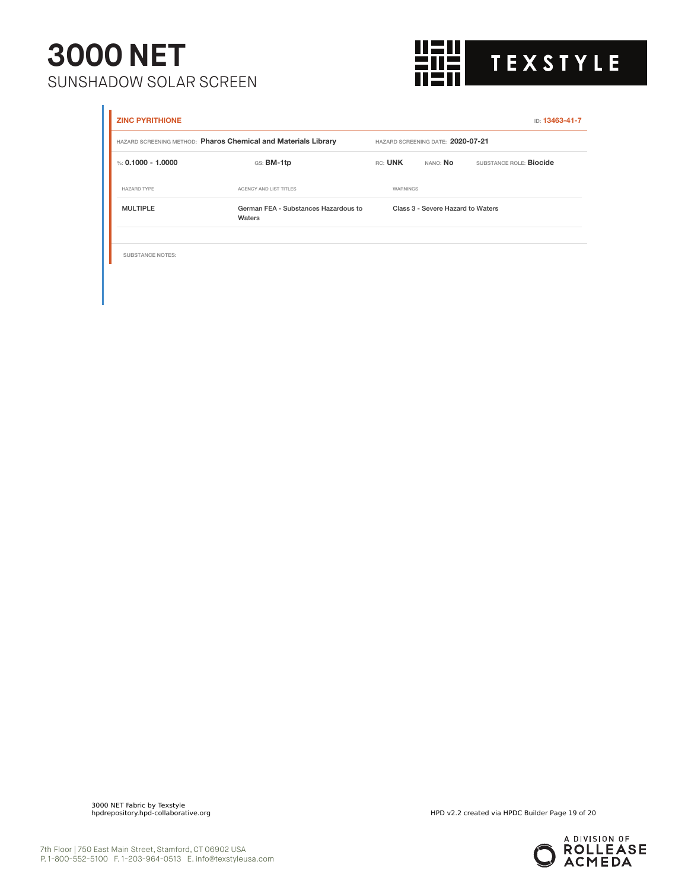

| <b>ZINC PYRITHIONE</b>  |                                                                |          |                                   | ID: 13463-41-7                 |
|-------------------------|----------------------------------------------------------------|----------|-----------------------------------|--------------------------------|
|                         | HAZARD SCREENING METHOD: Pharos Chemical and Materials Library |          | HAZARD SCREENING DATE: 2020-07-21 |                                |
| %: 0.1000 - 1.0000      | GS: BM-1tp                                                     | RC: UNK  | nano: <b>No</b>                   | SUBSTANCE ROLE: <b>Biocide</b> |
| HAZARD TYPE             | AGENCY AND LIST TITLES                                         | WARNINGS |                                   |                                |
| <b>MULTIPLE</b>         | German FEA - Substances Hazardous to<br>Waters                 |          | Class 3 - Severe Hazard to Waters |                                |
|                         |                                                                |          |                                   |                                |
| <b>SUBSTANCE NOTES:</b> |                                                                |          |                                   |                                |

3000 NET Fabric by Texstyle

HPD v2.2 created via HPDC Builder Page 19 of 20

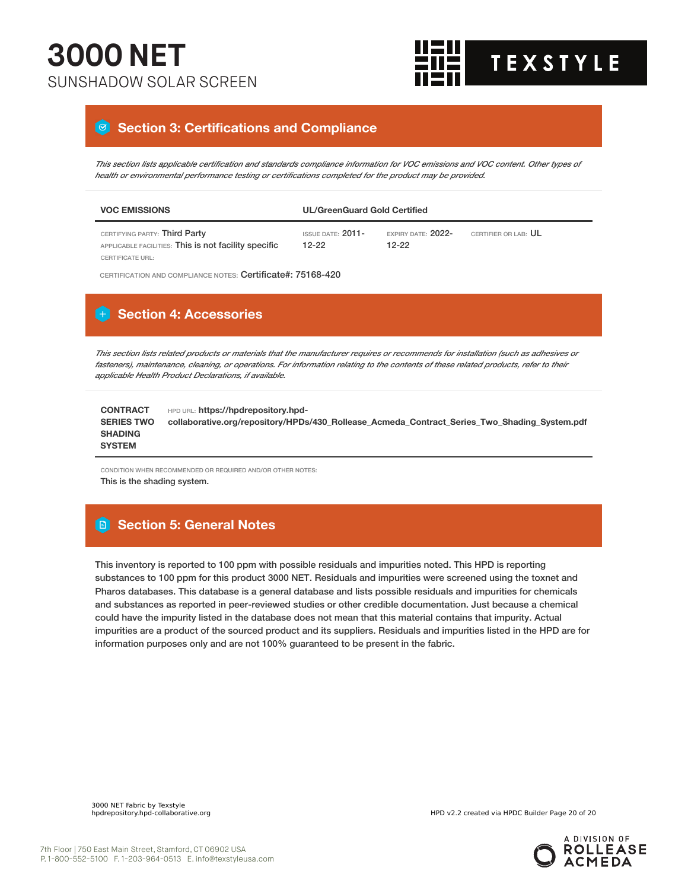

#### **Section 3: Certifications and Compliance**

This section lists applicable certification and standards compliance information for VOC emissions and VOC content. Other types of *health or environmental performance testing or certifications completed for the product may be provided.*

| <b>VOC EMISSIONS</b>                                                                  | <b>UL/GreenGuard Gold Certified</b> |                                 |                             |
|---------------------------------------------------------------------------------------|-------------------------------------|---------------------------------|-----------------------------|
| CERTIFYING PARTY: Third Party<br>APPLICABLE FACILITIES: This is not facility specific | ISSUE DATE: 2011-<br>$12-22$        | EXPIRY DATE: $2022-$<br>$12-22$ | CERTIFIER OR LAB: <b>UL</b> |
| CERTIFICATE URL:                                                                      |                                     |                                 |                             |

CERTIFICATION AND COMPLIANCE NOTES: Certificate#: 75168-420

#### **H** Section 4: Accessories

This section lists related products or materials that the manufacturer requires or recommends for installation (such as adhesives or fasteners), maintenance, cleaning, or operations. For information relating to the contents of these related products, refer to their *applicable Health Product Declarations, if available.*

| <b>CONTRACT</b>   | HPD URL: https://hpdrepository.hpd-                                                          |
|-------------------|----------------------------------------------------------------------------------------------|
| <b>SERIES TWO</b> | collaborative.org/repository/HPDs/430 Rollease Acmeda Contract Series Two Shading System.pdf |
| <b>SHADING</b>    |                                                                                              |
| <b>SYSTEM</b>     |                                                                                              |

CONDITION WHEN RECOMMENDED OR REQUIRED AND/OR OTHER NOTES: This is the shading system.

#### **Section 5: General Notes**

This inventory is reported to 100 ppm with possible residuals and impurities noted. This HPD is reporting substances to 100 ppm for this product 3000 NET. Residuals and impurities were screened using the toxnet and Pharos databases. This database is a general database and lists possible residuals and impurities for chemicals and substances as reported in peer-reviewed studies or other credible documentation. Just because a chemical could have the impurity listed in the database does not mean that this material contains that impurity. Actual impurities are a product of the sourced product and its suppliers. Residuals and impurities listed in the HPD are for information purposes only and are not 100% guaranteed to be present in the fabric.

3000 NET Fabric by Texstyle

HPD v2.2 created via HPDC Builder Page 20 of 20